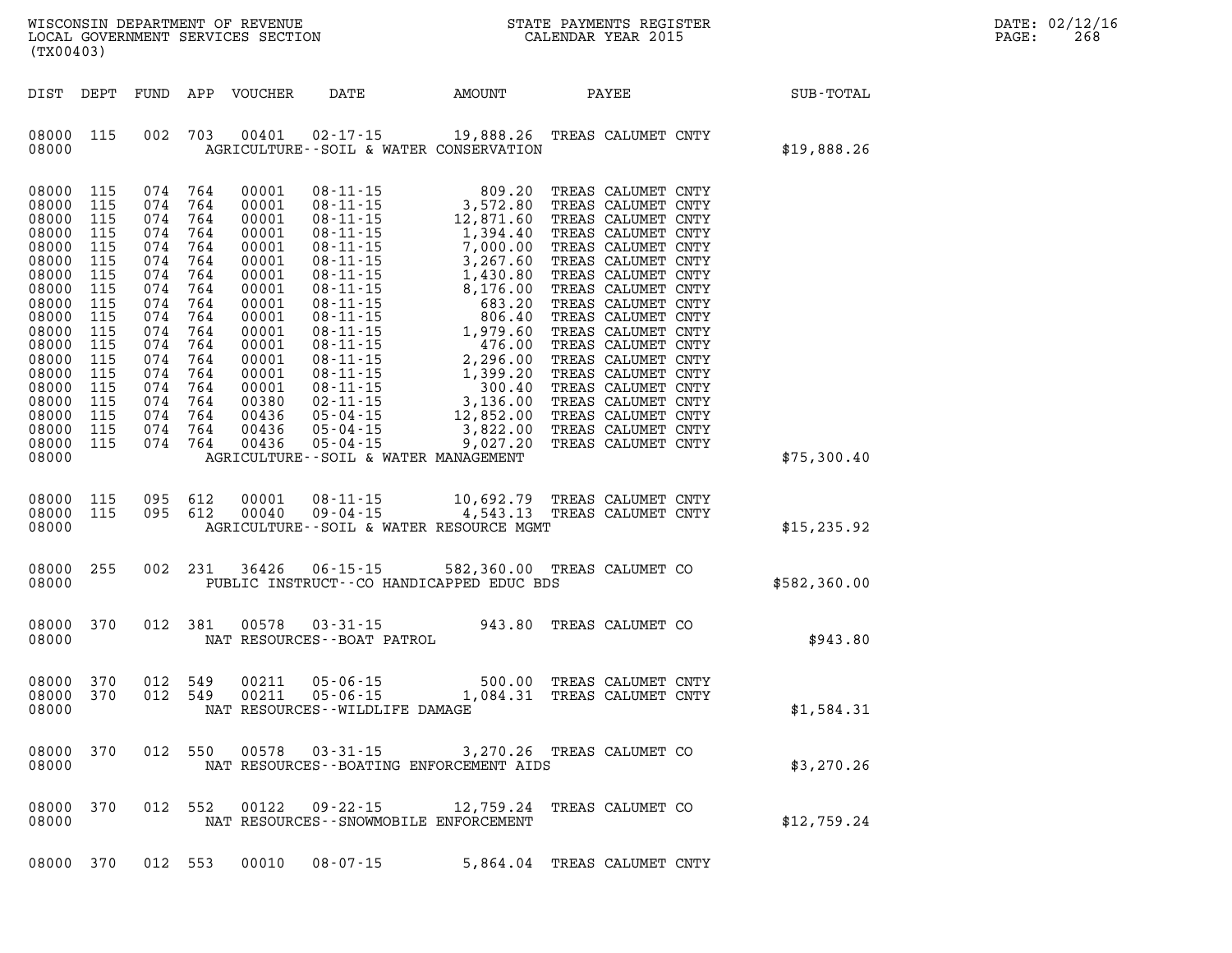| $\mathtt{DATE}$ : | 02/12/16 |
|-------------------|----------|
| PAGE:             | 268      |

| (TX00403)                                                                                                                                                                                                              |                   |                                                                                                                                                                                                                                   |                   |                |                                      | WISCONSIN DEPARTMENT OF REVENUE<br>LOCAL GOVERNMENT SERVICES SECTION THE STATE PAYMENTS REGISTER<br>(TYA04403)                                 |  |                                                             | DA<br>PA |
|------------------------------------------------------------------------------------------------------------------------------------------------------------------------------------------------------------------------|-------------------|-----------------------------------------------------------------------------------------------------------------------------------------------------------------------------------------------------------------------------------|-------------------|----------------|--------------------------------------|------------------------------------------------------------------------------------------------------------------------------------------------|--|-------------------------------------------------------------|----------|
|                                                                                                                                                                                                                        |                   |                                                                                                                                                                                                                                   |                   |                |                                      |                                                                                                                                                |  | DIST DEPT FUND APP VOUCHER DATE AMOUNT PAYEE PATE SUB-TOTAL |          |
| 08000                                                                                                                                                                                                                  |                   |                                                                                                                                                                                                                                   | 08000 115 002 703 |                |                                      | 00401  02-17-15  19,888.26  TREAS CALUMET CNTY<br>AGRICULTURE--SOIL & WATER CONSERVATION                                                       |  | \$19,888.26                                                 |          |
| 08000 115<br>08000 115<br>08000<br>08000<br>08000<br>08000 115<br>08000 115<br>08000 115<br>08000 115<br>08000 115<br>08000 115<br>08000 115<br>08000 115<br>08000 115<br>08000 115<br>08000 115<br>08000 115<br>08000 | 115<br>115<br>115 | 074 764<br>074 764<br>074 764<br>074 764<br>074 764<br>074 764<br>074 764<br>074 764<br>074 764<br>074 764<br>074 764<br>074 764<br>074 764<br>074 764<br>074 764<br>074 764<br>074 764<br>08000 115 074 764<br>08000 115 074 764 |                   |                | AGRICULTURE--SOIL & WATER MANAGEMENT |                                                                                                                                                |  | \$75,300.40                                                 |          |
| 08000                                                                                                                                                                                                                  |                   | 08000 115 095 612                                                                                                                                                                                                                 | 08000 115 095 612 |                |                                      | 00001  08-11-15   10,692.79   TREAS CALUMET CNTY<br>00040  09-04-15   4,543.13   TREAS CALUMET CNTY<br>AGRICULTURE--SOIL & WATER RESOURCE MGMT |  | \$15,235.92                                                 |          |
| 08000 255<br>08000                                                                                                                                                                                                     |                   |                                                                                                                                                                                                                                   | 002 231           |                |                                      | 36426  06-15-15  582,360.00  TREAS CALUMET CO<br>PUBLIC INSTRUCT--CO HANDICAPPED EDUC BDS                                                      |  | \$582,360.00                                                |          |
| 08000 370<br>08000                                                                                                                                                                                                     |                   | 012 381                                                                                                                                                                                                                           |                   |                | NAT RESOURCES - - BOAT PATROL        | 00578  03-31-15  943.80  TREAS CALUMET CO                                                                                                      |  | \$943.80                                                    |          |
| 08000 370<br>08000 370<br>08000                                                                                                                                                                                        |                   | 012 549<br>012 549                                                                                                                                                                                                                |                   | 00211<br>00211 | NAT RESOURCES - - WILDLIFE DAMAGE    | 05-06-15 500.00 TREAS CALUMET CNTY<br>05-06-15 1,084.31 TREAS CALUMET CNTY                                                                     |  | \$1,584.31                                                  |          |
| 08000 370<br>08000                                                                                                                                                                                                     |                   | 012 550                                                                                                                                                                                                                           |                   | 00578          | $03 - 31 - 15$                       | 3,270.26 TREAS CALUMET CO<br>NAT RESOURCES - - BOATING ENFORCEMENT AIDS                                                                        |  | \$3,270.26                                                  |          |
| 08000 370<br>08000                                                                                                                                                                                                     |                   | 012 552                                                                                                                                                                                                                           |                   | 00122          | 09 - 22 - 15                         | 12,759.24 TREAS CALUMET CO<br>NAT RESOURCES - - SNOWMOBILE ENFORCEMENT                                                                         |  | \$12,759.24                                                 |          |

**08000 370 012 553 00010 08-07-15 5,864.04 TREAS CALUMET CNTY**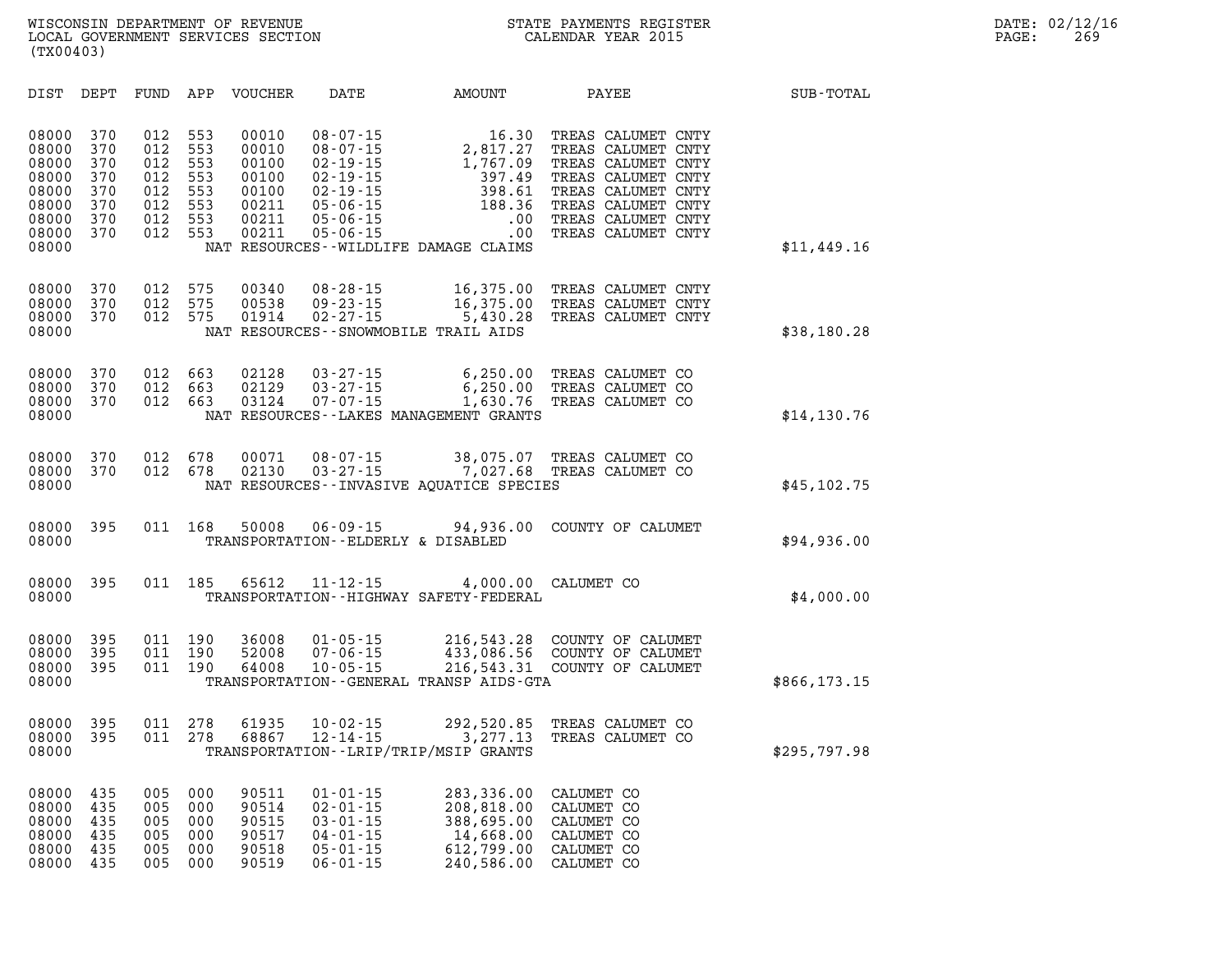| DIST                                                                          | DEPT                                                 | FUND                                                 | APP                                                  | <b>VOUCHER</b>                                                       | DATE                                                                                                                                         | <b>AMOUNT</b>                                                                                                         | PAYEE                                                                                                                                                                        | SUB-TOTAL    |
|-------------------------------------------------------------------------------|------------------------------------------------------|------------------------------------------------------|------------------------------------------------------|----------------------------------------------------------------------|----------------------------------------------------------------------------------------------------------------------------------------------|-----------------------------------------------------------------------------------------------------------------------|------------------------------------------------------------------------------------------------------------------------------------------------------------------------------|--------------|
| 08000<br>08000<br>08000<br>08000<br>08000<br>08000<br>08000<br>08000<br>08000 | 370<br>370<br>370<br>370<br>370<br>370<br>370<br>370 | 012<br>012<br>012<br>012<br>012<br>012<br>012<br>012 | 553<br>553<br>553<br>553<br>553<br>553<br>553<br>553 | 00010<br>00010<br>00100<br>00100<br>00100<br>00211<br>00211<br>00211 | $08 - 07 - 15$<br>$08 - 07 - 15$<br>$02 - 19 - 15$<br>$02 - 19 - 15$<br>$02 - 19 - 15$<br>$05 - 06 - 15$<br>$05 - 06 - 15$<br>$05 - 06 - 15$ | 16.30<br>2,817.27<br>1,767.09<br>397.49<br>398.61<br>188.36<br>.00<br>.00<br>NAT RESOURCES - - WILDLIFE DAMAGE CLAIMS | TREAS CALUMET CNTY<br>TREAS CALUMET CNTY<br>TREAS CALUMET CNTY<br>TREAS CALUMET CNTY<br>TREAS CALUMET CNTY<br>TREAS CALUMET CNTY<br>TREAS CALUMET CNTY<br>TREAS CALUMET CNTY | \$11,449.16  |
| 08000<br>08000<br>08000<br>08000                                              | 370<br>370<br>370                                    | 012<br>012<br>012                                    | 575<br>575<br>575                                    | 00340<br>00538<br>01914                                              | $08 - 28 - 15$<br>$09 - 23 - 15$<br>$02 - 27 - 15$                                                                                           | 16,375.00<br>16,375.00<br>5,430.28<br>NAT RESOURCES - - SNOWMOBILE TRAIL AIDS                                         | TREAS CALUMET CNTY<br>TREAS CALUMET CNTY<br>TREAS CALUMET CNTY                                                                                                               | \$38,180.28  |
| 08000<br>08000<br>08000<br>08000                                              | 370<br>370<br>370                                    | 012<br>012<br>012                                    | 663<br>663<br>663                                    | 02128<br>02129<br>03124                                              | $03 - 27 - 15$<br>$03 - 27 - 15$<br>$07 - 07 - 15$                                                                                           | 6, 250.00<br>6, 250.00<br>1,630.76<br>NAT RESOURCES - - LAKES MANAGEMENT GRANTS                                       | TREAS CALUMET CO<br>TREAS CALUMET CO<br>TREAS CALUMET CO                                                                                                                     | \$14,130.76  |
| 08000<br>08000<br>08000                                                       | 370<br>370                                           | 012<br>012                                           | 678<br>678                                           | 00071<br>02130                                                       | $08 - 07 - 15$<br>$03 - 27 - 15$                                                                                                             | 38,075.07<br>7,027.68<br>NAT RESOURCES - - INVASIVE AQUATICE SPECIES                                                  | TREAS CALUMET CO<br>TREAS CALUMET CO                                                                                                                                         | \$45,102.75  |
| 08000<br>08000                                                                | 395                                                  | 011                                                  | 168                                                  | 50008                                                                | $06 - 09 - 15$<br>TRANSPORTATION--ELDERLY & DISABLED                                                                                         | 94,936.00                                                                                                             | COUNTY OF CALUMET                                                                                                                                                            | \$94,936.00  |
| 08000<br>08000                                                                | 395                                                  | 011                                                  | 185                                                  | 65612                                                                | $11 - 12 - 15$                                                                                                                               | 4,000.00<br>TRANSPORTATION - - HIGHWAY SAFETY - FEDERAL                                                               | CALUMET CO                                                                                                                                                                   | \$4,000.00   |
| 08000<br>08000<br>08000<br>08000                                              | 395<br>395<br>395                                    | 011<br>011<br>011                                    | 190<br>190<br>190                                    | 36008<br>52008<br>64008                                              | $01 - 05 - 15$<br>$07 - 06 - 15$<br>$10 - 05 - 15$                                                                                           | 216,543.28<br>433,086.56<br>216,543.31<br>TRANSPORTATION--GENERAL TRANSP AIDS-GTA                                     | COUNTY OF CALUMET<br>COUNTY OF CALUMET<br>COUNTY OF CALUMET                                                                                                                  | \$866,173.15 |
| 08000<br>08000<br>08000                                                       | 395<br>395                                           | 011<br>011                                           | 278<br>278                                           | 61935<br>68867                                                       | $10 - 02 - 15$<br>$12 - 14 - 15$                                                                                                             | 292,520.85<br>3,277.13<br>TRANSPORTATION - - LRIP/TRIP/MSIP GRANTS                                                    | TREAS CALUMET CO<br>TREAS CALUMET CO                                                                                                                                         | \$295,797.98 |
| 08000<br>08000<br>08000<br>08000<br>08000                                     | 435<br>435<br>435<br>435<br>435                      | 005<br>005<br>005<br>005<br>005                      | 000<br>000<br>000<br>000<br>000                      | 90511<br>90514<br>90515<br>90517<br>90518                            | $01 - 01 - 15$<br>$02 - 01 - 15$<br>$03 - 01 - 15$<br>$04 - 01 - 15$<br>$05 - 01 - 15$                                                       | 283,336.00<br>208,818.00<br>388,695.00<br>14,668.00<br>612,799.00                                                     | CALUMET CO<br>CALUMET CO<br>CALUMET CO<br>CALUMET CO<br>CALUMET CO                                                                                                           |              |

**08000 435 005 000 90519 06-01-15 240,586.00 CALUMET CO**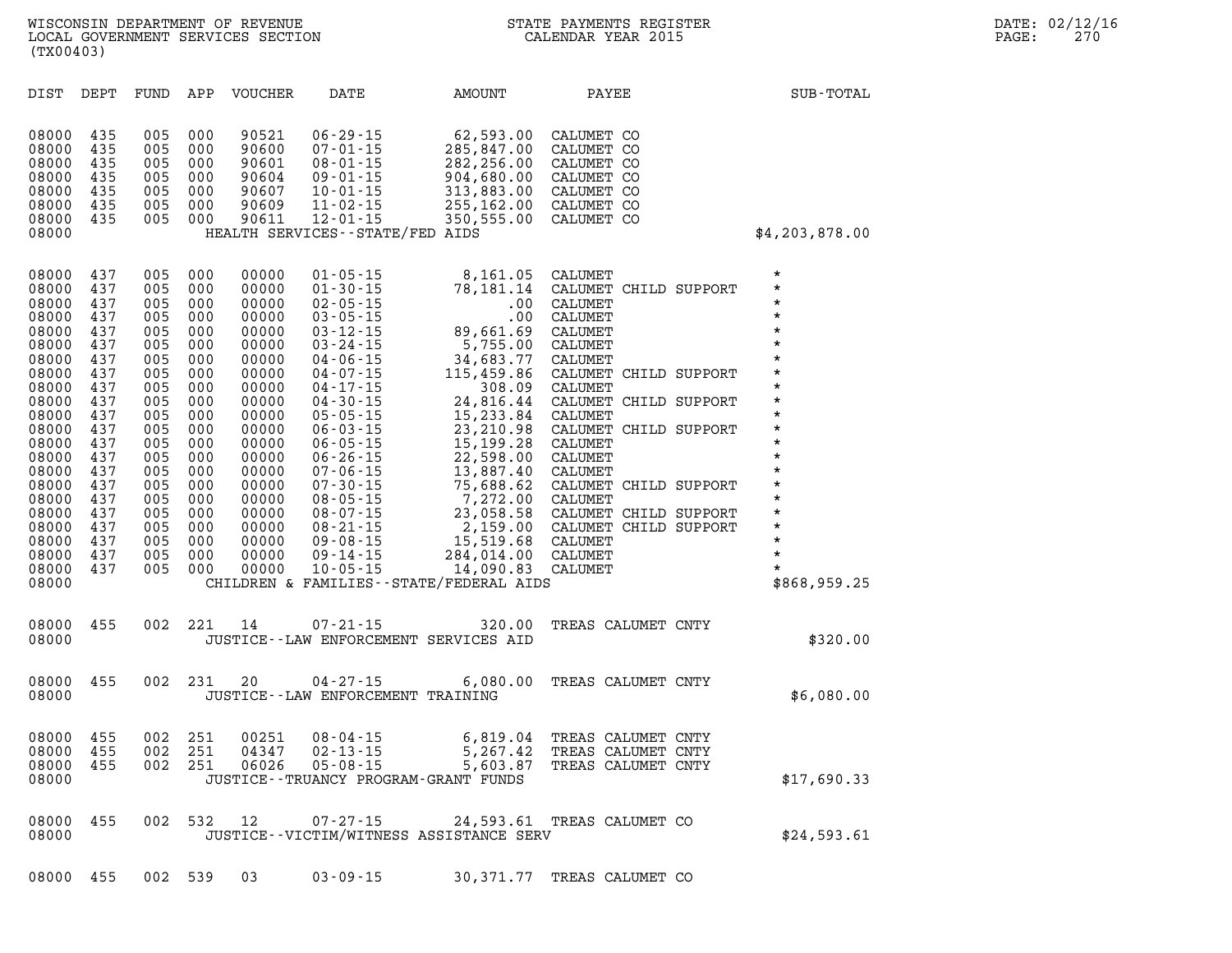| DIST                                                                                                                                                                                                        | DEPT                                                                                                                                                   | FUND                                                                                                                                                   | APP                                                                                                                                                    | <b>VOUCHER</b>                                                                                                                                                                                     | DATE                                                                                                                                                                                                                                                                                                                                                                                                     | AMOUNT                                                                                                                                                                                                                                                                                                                | PAYEE                                                                                                                                                                                                                                                                                                                                     |                                | SUB-TOTAL                                                                                                                                                                                                                                                         |
|-------------------------------------------------------------------------------------------------------------------------------------------------------------------------------------------------------------|--------------------------------------------------------------------------------------------------------------------------------------------------------|--------------------------------------------------------------------------------------------------------------------------------------------------------|--------------------------------------------------------------------------------------------------------------------------------------------------------|----------------------------------------------------------------------------------------------------------------------------------------------------------------------------------------------------|----------------------------------------------------------------------------------------------------------------------------------------------------------------------------------------------------------------------------------------------------------------------------------------------------------------------------------------------------------------------------------------------------------|-----------------------------------------------------------------------------------------------------------------------------------------------------------------------------------------------------------------------------------------------------------------------------------------------------------------------|-------------------------------------------------------------------------------------------------------------------------------------------------------------------------------------------------------------------------------------------------------------------------------------------------------------------------------------------|--------------------------------|-------------------------------------------------------------------------------------------------------------------------------------------------------------------------------------------------------------------------------------------------------------------|
| 08000<br>08000<br>08000<br>08000<br>08000<br>08000<br>08000<br>08000                                                                                                                                        | 435<br>435<br>435<br>435<br>435<br>435<br>435                                                                                                          | 005<br>005<br>005<br>005<br>005<br>005<br>005                                                                                                          | 000<br>000<br>000<br>000<br>000<br>000<br>000                                                                                                          | 90521<br>90600<br>90601<br>90604<br>90607<br>90609<br>90611                                                                                                                                        | $06 - 29 - 15$<br>$07 - 01 - 15$<br>$08 - 01 - 15$<br>$09 - 01 - 15$<br>$10 - 01 - 15$<br>$11 - 02 - 15$<br>$12 - 01 - 15$<br>HEALTH SERVICES--STATE/FED AIDS                                                                                                                                                                                                                                            | 62,593.00<br>285,847.00<br>282,256.00<br>904,680.00<br>313,883.00<br>255,162.00<br>350,555.00                                                                                                                                                                                                                         | CALUMET CO<br>CALUMET CO<br>CALUMET CO<br>CALUMET CO<br>CALUMET CO<br>CALUMET CO<br>CALUMET CO                                                                                                                                                                                                                                            |                                | \$4,203,878.00                                                                                                                                                                                                                                                    |
| 08000<br>08000<br>08000<br>08000<br>08000<br>08000<br>08000<br>08000<br>08000<br>08000<br>08000<br>08000<br>08000<br>08000<br>08000<br>08000<br>08000<br>08000<br>08000<br>08000<br>08000<br>08000<br>08000 | 437<br>437<br>437<br>437<br>437<br>437<br>437<br>437<br>437<br>437<br>437<br>437<br>437<br>437<br>437<br>437<br>437<br>437<br>437<br>437<br>437<br>437 | 005<br>005<br>005<br>005<br>005<br>005<br>005<br>005<br>005<br>005<br>005<br>005<br>005<br>005<br>005<br>005<br>005<br>005<br>005<br>005<br>005<br>005 | 000<br>000<br>000<br>000<br>000<br>000<br>000<br>000<br>000<br>000<br>000<br>000<br>000<br>000<br>000<br>000<br>000<br>000<br>000<br>000<br>000<br>000 | 00000<br>00000<br>00000<br>00000<br>00000<br>00000<br>00000<br>00000<br>00000<br>00000<br>00000<br>00000<br>00000<br>00000<br>00000<br>00000<br>00000<br>00000<br>00000<br>00000<br>00000<br>00000 | $01 - 05 - 15$<br>$01 - 30 - 15$<br>$02 - 05 - 15$<br>$03 - 05 - 15$<br>$03 - 12 - 15$<br>$03 - 24 - 15$<br>$04 - 06 - 15$<br>$04 - 07 - 15$<br>$04 - 17 - 15$<br>$04 - 30 - 15$<br>$05 - 05 - 15$<br>$06 - 03 - 15$<br>$06 - 05 - 15$<br>$06 - 26 - 15$<br>$07 - 06 - 15$<br>$07 - 30 - 15$<br>$08 - 05 - 15$<br>$08 - 07 - 15$<br>$08 - 21 - 15$<br>$09 - 08 - 15$<br>$09 - 14 - 15$<br>$10 - 05 - 15$ | 8,161.05<br>78,181.14<br>.00<br>.00<br>89,661.69<br>5,755.00<br>34,683.77<br>115,459.86<br>308.09<br>24,816.44<br>15,233.84<br>23, 210.98<br>15,199.28<br>22,598.00<br>13,887.40<br>75,688.62<br>7,272.00<br>23,058.58<br>2,159.00<br>15,519.68<br>284,014.00<br>14,090.83<br>CHILDREN & FAMILIES--STATE/FEDERAL AIDS | CALUMET<br>CALUMET CHILD SUPPORT<br>CALUMET<br><b>CALUMET</b><br>CALUMET<br>CALUMET<br>CALUMET<br>CALUMET CHILD SUPPORT<br>CALUMET<br>CALUMET<br>CALUMET<br>CALUMET CHILD SUPPORT<br>CALUMET<br><b>CALUMET</b><br>CALUMET<br>CALUMET CHILD SUPPORT<br>CALUMET<br>CALUMET CHILD SUPPORT<br>CALUMET<br>CALUMET<br>CALUMET<br><b>CALUMET</b> | CHILD SUPPORT<br>CHILD SUPPORT | $^\star$<br>$^\star$<br>$\star$<br>$\star$<br>$\star$<br>$\star$<br>$\star$<br>$\star$<br>$\star$<br>$\star$<br>$\star$<br>$\star$<br>$\star$<br>$\star$<br>$\star$<br>$\star$<br>$^\star$<br>$\star$<br>$\star$<br>$\star$<br>$\star$<br>$\star$<br>\$868,959.25 |
| 08000<br>08000                                                                                                                                                                                              | 455                                                                                                                                                    | 002                                                                                                                                                    | 221                                                                                                                                                    | 14                                                                                                                                                                                                 | $07 - 21 - 15$                                                                                                                                                                                                                                                                                                                                                                                           | 320.00<br>JUSTICE--LAW ENFORCEMENT SERVICES AID                                                                                                                                                                                                                                                                       | TREAS CALUMET CNTY                                                                                                                                                                                                                                                                                                                        |                                | \$320.00                                                                                                                                                                                                                                                          |
| 08000<br>08000                                                                                                                                                                                              | 455                                                                                                                                                    | 002                                                                                                                                                    | 231                                                                                                                                                    | 20                                                                                                                                                                                                 | $04 - 27 - 15$<br>JUSTICE--LAW ENFORCEMENT TRAINING                                                                                                                                                                                                                                                                                                                                                      | 6,080.00                                                                                                                                                                                                                                                                                                              | TREAS CALUMET CNTY                                                                                                                                                                                                                                                                                                                        |                                | \$6,080.00                                                                                                                                                                                                                                                        |
| 08000<br>08000<br>08000<br>08000                                                                                                                                                                            | 455<br>455<br>455                                                                                                                                      | 002<br>002<br>002                                                                                                                                      | 251<br>251<br>251                                                                                                                                      | 00251<br>04347<br>06026                                                                                                                                                                            | $08 - 04 - 15$<br>$02 - 13 - 15$<br>$05 - 08 - 15$                                                                                                                                                                                                                                                                                                                                                       | 6,819.04<br>5,267.42<br>5,603.87<br>JUSTICE--TRUANCY PROGRAM-GRANT FUNDS                                                                                                                                                                                                                                              | TREAS CALUMET CNTY<br>TREAS CALUMET CNTY<br>TREAS CALUMET CNTY                                                                                                                                                                                                                                                                            |                                | \$17,690.33                                                                                                                                                                                                                                                       |
| 08000<br>08000                                                                                                                                                                                              | 455                                                                                                                                                    | 002                                                                                                                                                    | 532                                                                                                                                                    | 12                                                                                                                                                                                                 | $07 - 27 - 15$                                                                                                                                                                                                                                                                                                                                                                                           | 24,593.61<br>JUSTICE--VICTIM/WITNESS ASSISTANCE SERV                                                                                                                                                                                                                                                                  | TREAS CALUMET CO                                                                                                                                                                                                                                                                                                                          |                                | \$24,593.61                                                                                                                                                                                                                                                       |
| 08000                                                                                                                                                                                                       | 455                                                                                                                                                    | 002                                                                                                                                                    | 539                                                                                                                                                    | 03                                                                                                                                                                                                 | $03 - 09 - 15$                                                                                                                                                                                                                                                                                                                                                                                           | 30,371.77                                                                                                                                                                                                                                                                                                             | TREAS<br>CALUMET CO                                                                                                                                                                                                                                                                                                                       |                                |                                                                                                                                                                                                                                                                   |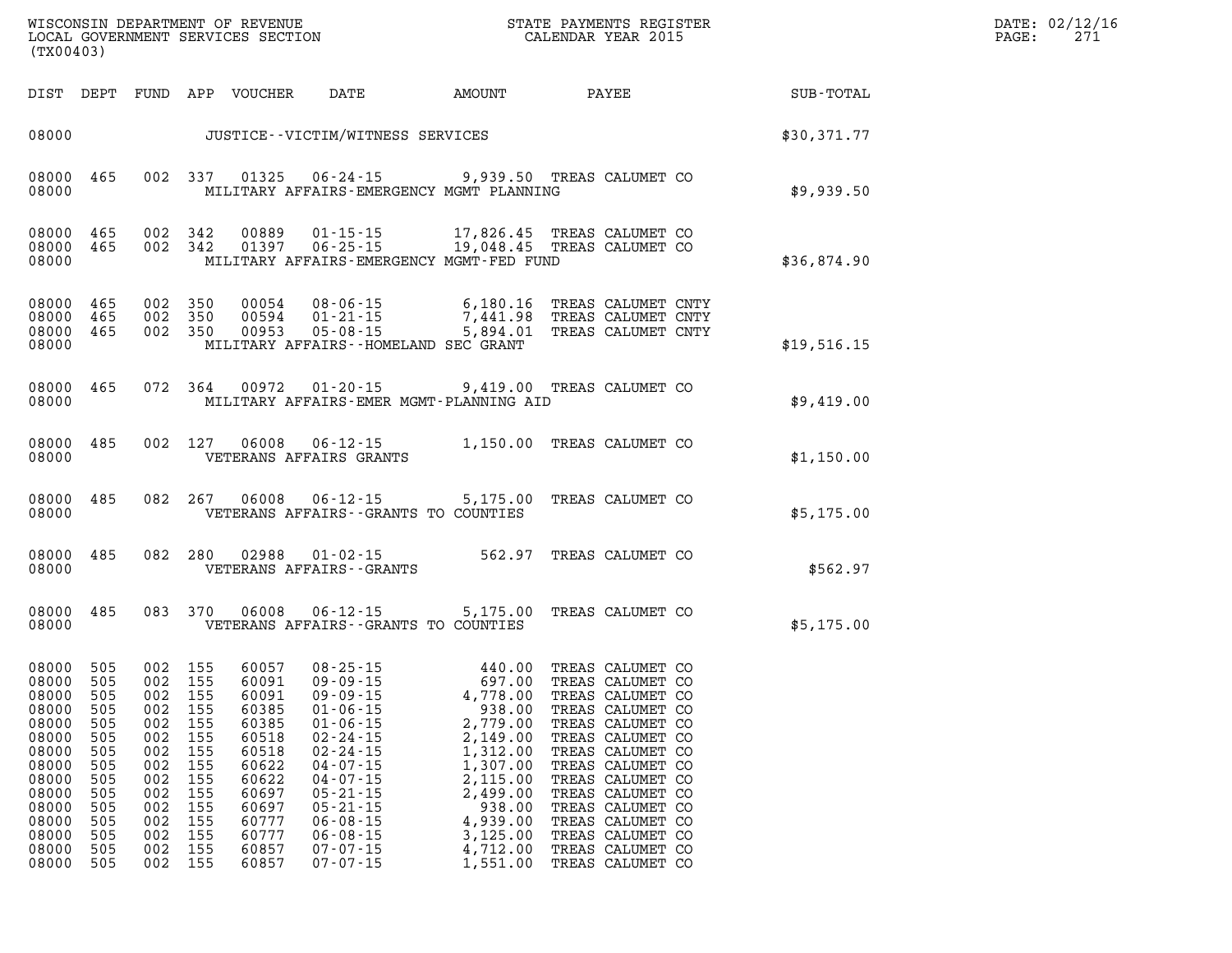| WISCONSIN DEPARTMENT OF REVENUE<br>LOCAL GOVERNMENT SERVICES SECTION<br>(TX00403)                                                   |                                                                                                       |                                                                                                               |                                                                                         |                                                                                                                                     |                                                                                                                                                                                                                                                                            | STATE PAYMENTS REGISTER<br>CALENDAR YEAR 2015                                                                                                                            |                                                                                                                                                                                                                                                                                                          |             | DATE: 02/12/16<br>271<br>PAGE: |
|-------------------------------------------------------------------------------------------------------------------------------------|-------------------------------------------------------------------------------------------------------|---------------------------------------------------------------------------------------------------------------|-----------------------------------------------------------------------------------------|-------------------------------------------------------------------------------------------------------------------------------------|----------------------------------------------------------------------------------------------------------------------------------------------------------------------------------------------------------------------------------------------------------------------------|--------------------------------------------------------------------------------------------------------------------------------------------------------------------------|----------------------------------------------------------------------------------------------------------------------------------------------------------------------------------------------------------------------------------------------------------------------------------------------------------|-------------|--------------------------------|
|                                                                                                                                     | DIST DEPT                                                                                             |                                                                                                               |                                                                                         | FUND APP VOUCHER                                                                                                                    | DATE                                                                                                                                                                                                                                                                       | AMOUNT                                                                                                                                                                   | PAYEE                                                                                                                                                                                                                                                                                                    | SUB-TOTAL   |                                |
| 08000                                                                                                                               |                                                                                                       |                                                                                                               |                                                                                         |                                                                                                                                     | JUSTICE--VICTIM/WITNESS SERVICES                                                                                                                                                                                                                                           |                                                                                                                                                                          |                                                                                                                                                                                                                                                                                                          | \$30,371.77 |                                |
| 08000<br>08000                                                                                                                      | 465                                                                                                   |                                                                                                               | 002 337                                                                                 | 01325                                                                                                                               | 06-24-15 9,939.50 TREAS CALUMET CO<br>MILITARY AFFAIRS-EMERGENCY MGMT PLANNING                                                                                                                                                                                             |                                                                                                                                                                          |                                                                                                                                                                                                                                                                                                          | \$9,939.50  |                                |
| 08000<br>08000<br>08000                                                                                                             | 465<br>465                                                                                            | 002 342<br>002 342                                                                                            |                                                                                         | 00889<br>01397                                                                                                                      | 01-15-15 17,826.45 TREAS CALUMET CO<br>06-25-15 19,048.45 TREAS CALUMET CO<br>MILITARY AFFAIRS-EMERGENCY MGMT-FED FUND                                                                                                                                                     |                                                                                                                                                                          |                                                                                                                                                                                                                                                                                                          | \$36,874.90 |                                |
| 08000<br>08000<br>08000<br>08000                                                                                                    | 465<br>465<br>465                                                                                     | 002 350<br>002 350<br>002 350                                                                                 |                                                                                         | 00054<br>00594<br>00953                                                                                                             | 08-06-15<br>$01 - 21 - 15$<br>$05 - 08 - 15$<br>MILITARY AFFAIRS -- HOMELAND SEC GRANT                                                                                                                                                                                     | 6,180.16<br>7,441.98<br>5,894.01                                                                                                                                         | TREAS CALUMET CNTY<br>TREAS CALUMET CNTY<br>TREAS CALUMET CNTY                                                                                                                                                                                                                                           | \$19,516.15 |                                |
| 08000<br>08000                                                                                                                      | 465                                                                                                   |                                                                                                               | 072 364                                                                                 | 00972                                                                                                                               | $01 - 20 - 15$<br>MILITARY AFFAIRS-EMER MGMT-PLANNING AID                                                                                                                                                                                                                  | 9,419.00 TREAS CALUMET CO                                                                                                                                                |                                                                                                                                                                                                                                                                                                          | \$9,419.00  |                                |
| 08000<br>08000                                                                                                                      | 485                                                                                                   | 002 127                                                                                                       |                                                                                         | 06008                                                                                                                               | $06 - 12 - 15$<br>VETERANS AFFAIRS GRANTS                                                                                                                                                                                                                                  | 1,150.00 TREAS CALUMET CO                                                                                                                                                |                                                                                                                                                                                                                                                                                                          | \$1,150.00  |                                |
| 08000<br>08000                                                                                                                      | 485                                                                                                   | 082                                                                                                           | 267                                                                                     | 06008                                                                                                                               | $06 - 12 - 15$<br>VETERANS AFFAIRS -- GRANTS TO COUNTIES                                                                                                                                                                                                                   | 5,175.00                                                                                                                                                                 | TREAS CALUMET CO                                                                                                                                                                                                                                                                                         | \$5,175.00  |                                |
| 08000<br>08000                                                                                                                      | 485                                                                                                   | 082                                                                                                           | 280                                                                                     | 02988                                                                                                                               | $01 - 02 - 15$<br>VETERANS AFFAIRS - - GRANTS                                                                                                                                                                                                                              | 562.97                                                                                                                                                                   | TREAS CALUMET CO                                                                                                                                                                                                                                                                                         | \$562.97    |                                |
| 08000<br>08000                                                                                                                      | 485                                                                                                   | 083                                                                                                           | 370                                                                                     | 06008                                                                                                                               | $06 - 12 - 15$<br>VETERANS AFFAIRS -- GRANTS TO COUNTIES                                                                                                                                                                                                                   | 5,175.00                                                                                                                                                                 | TREAS CALUMET CO                                                                                                                                                                                                                                                                                         | \$5,175.00  |                                |
| 08000<br>08000<br>08000<br>08000<br>08000<br>08000<br>08000<br>08000<br>08000<br>08000<br>08000<br>08000<br>08000<br>08000<br>08000 | 505<br>505<br>505<br>505<br>505<br>505<br>505<br>505<br>505<br>505<br>505<br>505<br>505<br>505<br>505 | 002 155<br>002<br>002<br>002 155<br>002<br>002<br>002<br>002<br>002<br>002<br>002<br>002<br>002<br>002<br>002 | 155<br>155<br>155<br>155<br>155<br>155<br>155<br>155<br>155<br>155<br>155<br>155<br>155 | 60057<br>60091<br>60091<br>60385<br>60385<br>60518<br>60518<br>60622<br>60622<br>60697<br>60697<br>60777<br>60777<br>60857<br>60857 | $08 - 25 - 15$<br>$09 - 09 - 15$<br>$09 - 09 - 15$<br>$01 - 06 - 15$<br>$01 - 06 - 15$<br>$02 - 24 - 15$<br>$02 - 24 - 15$<br>$04 - 07 - 15$<br>$04 - 07 - 15$<br>$05 - 21 - 15$<br>$05 - 21 - 15$<br>$06 - 08 - 15$<br>$06 - 08 - 15$<br>$07 - 07 - 15$<br>$07 - 07 - 15$ | 440.00<br>697.00<br>4,778.00<br>938.00<br>2,779.00<br>2,149.00<br>1,312.00<br>1,307.00<br>2,115.00<br>2,499.00<br>938.00<br>4,939.00<br>3,125.00<br>4,712.00<br>1,551.00 | TREAS CALUMET CO<br>TREAS CALUMET CO<br>TREAS CALUMET CO<br>TREAS CALUMET CO<br>TREAS CALUMET CO<br>TREAS CALUMET CO<br>TREAS CALUMET CO<br>TREAS CALUMET CO<br>TREAS CALUMET CO<br>TREAS CALUMET CO<br>TREAS CALUMET CO<br>TREAS CALUMET CO<br>TREAS CALUMET CO<br>TREAS CALUMET CO<br>TREAS CALUMET CO |             |                                |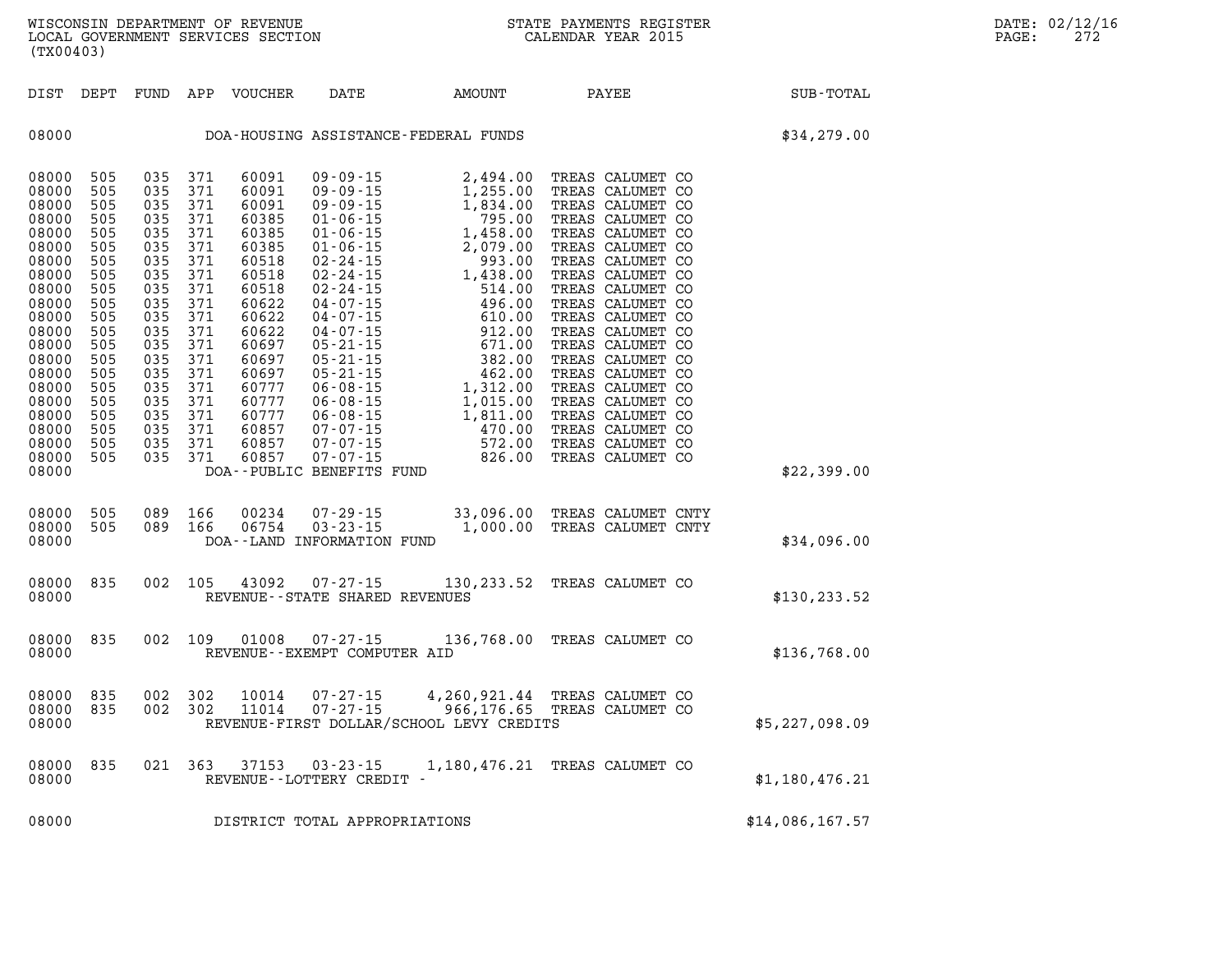| DIST<br>DEPT                                                                                                                                                                                                                                                                                                                                          | FUND                                                                                                                                            | APP<br>VOUCHER                                                                                                                                                                                                                                                                                                                                                            | DATE                                                                                                                                                                                                                                                                                                                                                                           | <b>AMOUNT</b>                                                                                                                                                                                                                         | PAYEE                                                                                                                                                                                                                                                                                                                                                                                                                            | SUB-TOTAL       |
|-------------------------------------------------------------------------------------------------------------------------------------------------------------------------------------------------------------------------------------------------------------------------------------------------------------------------------------------------------|-------------------------------------------------------------------------------------------------------------------------------------------------|---------------------------------------------------------------------------------------------------------------------------------------------------------------------------------------------------------------------------------------------------------------------------------------------------------------------------------------------------------------------------|--------------------------------------------------------------------------------------------------------------------------------------------------------------------------------------------------------------------------------------------------------------------------------------------------------------------------------------------------------------------------------|---------------------------------------------------------------------------------------------------------------------------------------------------------------------------------------------------------------------------------------|----------------------------------------------------------------------------------------------------------------------------------------------------------------------------------------------------------------------------------------------------------------------------------------------------------------------------------------------------------------------------------------------------------------------------------|-----------------|
| 08000                                                                                                                                                                                                                                                                                                                                                 |                                                                                                                                                 |                                                                                                                                                                                                                                                                                                                                                                           |                                                                                                                                                                                                                                                                                                                                                                                | DOA-HOUSING ASSISTANCE-FEDERAL FUNDS                                                                                                                                                                                                  |                                                                                                                                                                                                                                                                                                                                                                                                                                  | \$34,279.00     |
| 08000<br>505<br>505<br>08000<br>08000<br>505<br>08000<br>505<br>08000<br>505<br>08000<br>505<br>08000<br>505<br>08000<br>505<br>08000<br>505<br>08000<br>505<br>08000<br>505<br>08000<br>505<br>08000<br>505<br>08000<br>505<br>08000<br>505<br>08000<br>505<br>08000<br>505<br>08000<br>505<br>08000<br>505<br>08000<br>505<br>08000<br>505<br>08000 | 035<br>035<br>035<br>035<br>035<br>035<br>035<br>035<br>035<br>035<br>035<br>035<br>035<br>035<br>035<br>035<br>035<br>035<br>035<br>035<br>035 | 371<br>60091<br>371<br>60091<br>371<br>60091<br>371<br>60385<br>371<br>60385<br>371<br>60385<br>371<br>60518<br>371<br>60518<br>371<br>60518<br>371<br>60622<br>371<br>60622<br>371<br>60622<br>371<br>60697<br>371<br>60697<br>371<br>60697<br>371<br>60777<br>371<br>60777<br>371<br>60777<br>371<br>60857<br>371<br>60857<br>371<br>60857<br>DOA--PUBLIC BENEFITS FUND | 09 - 09 - 15<br>$09 - 09 - 15$<br>$09 - 09 - 15$<br>$01 - 06 - 15$<br>$01 - 06 - 15$<br>$01 - 06 - 15$<br>$02 - 24 - 15$<br>$02 - 24 - 15$<br>$02 - 24 - 15$<br>$04 - 07 - 15$<br>$04 - 07 - 15$<br>$04 - 07 - 15$<br>$05 - 21 - 15$<br>$05 - 21 - 15$<br>$05 - 21 - 15$<br>$06 - 08 - 15$<br>$06 - 08 - 15$<br>$06 - 08 - 15$<br>07-07-15<br>$07 - 07 - 15$<br>$07 - 07 - 15$ | 2,494.00<br>1,255.00<br>1,834.00<br>795.00<br>1,458.00<br>2,079.00<br>993.00<br>1,438.00<br>514.00<br>496.00<br>610.00<br>912.00<br>671.00<br>382.00<br>462.00<br>1,312.00<br>1,015.00<br>1,811.00<br>470.00<br>ں<br>572.00<br>826.00 | TREAS CALUMET CO<br>TREAS CALUMET CO<br>TREAS CALUMET CO<br>TREAS CALUMET CO<br>TREAS CALUMET CO<br>TREAS CALUMET CO<br>TREAS CALUMET CO<br>TREAS CALUMET CO<br>TREAS CALUMET CO<br>TREAS CALUMET CO<br>TREAS CALUMET CO<br>TREAS CALUMET CO<br>TREAS CALUMET CO<br>TREAS CALUMET CO<br>TREAS CALUMET CO<br>TREAS CALUMET CO<br>TREAS CALUMET CO<br>TREAS CALUMET CO<br>TREAS CALUMET CO<br>TREAS CALUMET CO<br>TREAS CALUMET CO | \$22,399.00     |
| 08000<br>505<br>08000<br>505<br>08000                                                                                                                                                                                                                                                                                                                 | 089<br>089                                                                                                                                      | 166<br>00234<br>06754<br>166                                                                                                                                                                                                                                                                                                                                              | $07 - 29 - 15$<br>$03 - 23 - 15$<br>DOA--LAND INFORMATION FUND                                                                                                                                                                                                                                                                                                                 | 33,096.00<br>1,000.00                                                                                                                                                                                                                 | TREAS CALUMET CNTY<br>TREAS CALUMET CNTY                                                                                                                                                                                                                                                                                                                                                                                         | \$34,096.00     |
| 08000<br>835<br>08000                                                                                                                                                                                                                                                                                                                                 | 002                                                                                                                                             | 105<br>43092                                                                                                                                                                                                                                                                                                                                                              | $07 - 27 - 15$<br>REVENUE - - STATE SHARED REVENUES                                                                                                                                                                                                                                                                                                                            |                                                                                                                                                                                                                                       | 130, 233.52 TREAS CALUMET CO                                                                                                                                                                                                                                                                                                                                                                                                     | \$130, 233.52   |
| 08000<br>835<br>08000                                                                                                                                                                                                                                                                                                                                 | 002                                                                                                                                             | 109<br>01008                                                                                                                                                                                                                                                                                                                                                              | $07 - 27 - 15$<br>REVENUE - - EXEMPT COMPUTER AID                                                                                                                                                                                                                                                                                                                              |                                                                                                                                                                                                                                       | 136,768.00 TREAS CALUMET CO                                                                                                                                                                                                                                                                                                                                                                                                      | \$136,768.00    |
| 08000<br>835<br>08000<br>835<br>08000                                                                                                                                                                                                                                                                                                                 | 002<br>002                                                                                                                                      | 302<br>10014<br>302<br>11014                                                                                                                                                                                                                                                                                                                                              | $07 - 27 - 15$<br>$07 - 27 - 15$                                                                                                                                                                                                                                                                                                                                               | 4,260,921.44<br>966,176.65<br>REVENUE-FIRST DOLLAR/SCHOOL LEVY CREDITS                                                                                                                                                                | TREAS CALUMET CO<br>TREAS CALUMET CO                                                                                                                                                                                                                                                                                                                                                                                             | \$5,227,098.09  |
| 835<br>08000<br>08000                                                                                                                                                                                                                                                                                                                                 | 021                                                                                                                                             | 363<br>37153                                                                                                                                                                                                                                                                                                                                                              | $03 - 23 - 15$<br>REVENUE--LOTTERY CREDIT -                                                                                                                                                                                                                                                                                                                                    |                                                                                                                                                                                                                                       | 1,180,476.21 TREAS CALUMET CO                                                                                                                                                                                                                                                                                                                                                                                                    | \$1,180,476.21  |
| 08000                                                                                                                                                                                                                                                                                                                                                 |                                                                                                                                                 |                                                                                                                                                                                                                                                                                                                                                                           | DISTRICT TOTAL APPROPRIATIONS                                                                                                                                                                                                                                                                                                                                                  |                                                                                                                                                                                                                                       |                                                                                                                                                                                                                                                                                                                                                                                                                                  | \$14,086,167.57 |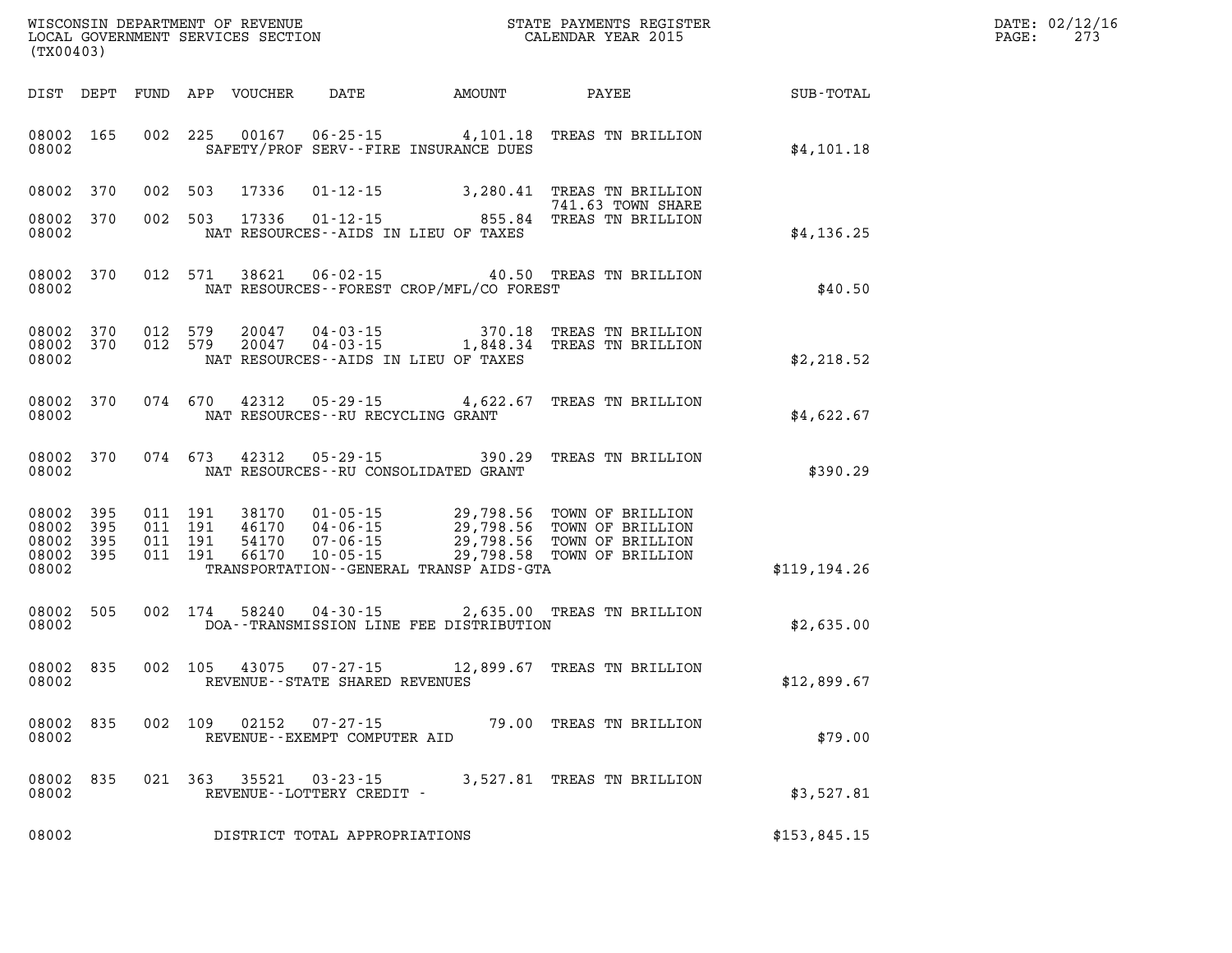|       | DATE: 02/12/16 |
|-------|----------------|
| PAGE: | 273            |

| WISCONSIN DEPARTMENT OF REVENUE<br>LOCAL GOVERNMENT SERVICES SECTION FOR THE STATE PAYMENTS REGIST<br>(TX00403) |                                                           |         |         |       |                                                |                                          | STATE PAYMENTS REGISTER                                                                                                                                                                                          | <b>TER EXECUTE:</b>                                | DATE: 02/12/1<br>$\mathtt{PAGE}$ :<br>273 |
|-----------------------------------------------------------------------------------------------------------------|-----------------------------------------------------------|---------|---------|-------|------------------------------------------------|------------------------------------------|------------------------------------------------------------------------------------------------------------------------------------------------------------------------------------------------------------------|----------------------------------------------------|-------------------------------------------|
|                                                                                                                 |                                                           |         |         |       |                                                |                                          |                                                                                                                                                                                                                  | DIST DEPT FUND APP VOUCHER DATE AMOUNT PAYEE TOTAL |                                           |
| 08002                                                                                                           | 08002 165                                                 |         |         |       |                                                | SAFETY/PROF SERV--FIRE INSURANCE DUES    | 002 225 00167 06-25-15 4,101.18 TREAS TN BRILLION                                                                                                                                                                | \$4,101.18                                         |                                           |
|                                                                                                                 | 08002 370                                                 |         |         |       |                                                |                                          | 002 503 17336 01-12-15 3,280.41 TREAS TN BRILLION<br>741.63 TOWN SHARE                                                                                                                                           |                                                    |                                           |
| 08002                                                                                                           | 08002 370                                                 |         |         |       |                                                | NAT RESOURCES--AIDS IN LIEU OF TAXES     | 741.63 TOWN SHARE<br>002 503 17336 01-12-15 855.84 TREAS TN BRILLION                                                                                                                                             | \$4,136.25                                         |                                           |
| 08002                                                                                                           |                                                           |         |         |       |                                                | NAT RESOURCES--FOREST CROP/MFL/CO FOREST | 08002 370 012 571 38621 06-02-15 40.50 TREAS TN BRILLION                                                                                                                                                         | \$40.50                                            |                                           |
| 08002                                                                                                           |                                                           |         |         |       |                                                | NAT RESOURCES--AIDS IN LIEU OF TAXES     | 08002 370 012 579 20047 04-03-15 370.18 TREAS TN BRILLION<br>08002 370 012 579 20047 04-03-15 1,848.34 TREAS TN BRILLION                                                                                         | \$2,218.52                                         |                                           |
| 08002                                                                                                           |                                                           |         |         |       | NAT RESOURCES--RU RECYCLING GRANT              |                                          | 08002 370 074 670 42312 05-29-15 4,622.67 TREAS TN BRILLION                                                                                                                                                      | \$4,622.67                                         |                                           |
| 08002                                                                                                           |                                                           |         |         |       |                                                | NAT RESOURCES--RU CONSOLIDATED GRANT     | 08002 370 074 673 42312 05-29-15 390.29 TREAS TN BRILLION                                                                                                                                                        | \$390.29                                           |                                           |
|                                                                                                                 | 08002 395<br>08002 395<br>08002 395<br>08002 395<br>08002 | 011 191 |         |       |                                                | TRANSPORTATION--GENERAL TRANSP AIDS-GTA  | 011 191 38170 01-05-15 29,798.56 TOWN OF BRILLION<br>011 191 46170 04-06-15 29,798.56 TOWN OF BRILLION<br>011 191 54170 07-06-15 29,798.56 TOWN OF BRILLION<br>011 191 66170 10-05-15 29,798.58 TOWN OF BRILLION | \$119,194.26                                       |                                           |
|                                                                                                                 | 08002 505<br>08002                                        |         |         |       |                                                | DOA--TRANSMISSION LINE FEE DISTRIBUTION  | 002 174 58240 04-30-15 2,635.00 TREAS TN BRILLION                                                                                                                                                                | \$2,635.00                                         |                                           |
| 08002                                                                                                           |                                                           |         |         |       | REVENUE--STATE SHARED REVENUES                 |                                          | 08002 835 002 105 43075 07-27-15 12,899.67 TREAS TN BRILLION                                                                                                                                                     | \$12,899.67                                        |                                           |
| 08002                                                                                                           | 08002 835                                                 |         | 002 109 | 02152 | $07 - 27 - 15$<br>REVENUE--EXEMPT COMPUTER AID |                                          | 79.00 TREAS TN BRILLION                                                                                                                                                                                          | \$79.00                                            |                                           |
| 08002<br>08002                                                                                                  | 835                                                       |         | 021 363 | 35521 | $03 - 23 - 15$<br>REVENUE--LOTTERY CREDIT -    |                                          | 3,527.81 TREAS TN BRILLION                                                                                                                                                                                       | \$3,527.81                                         |                                           |
| 08002                                                                                                           |                                                           |         |         |       | DISTRICT TOTAL APPROPRIATIONS                  |                                          |                                                                                                                                                                                                                  | \$153,845.15                                       |                                           |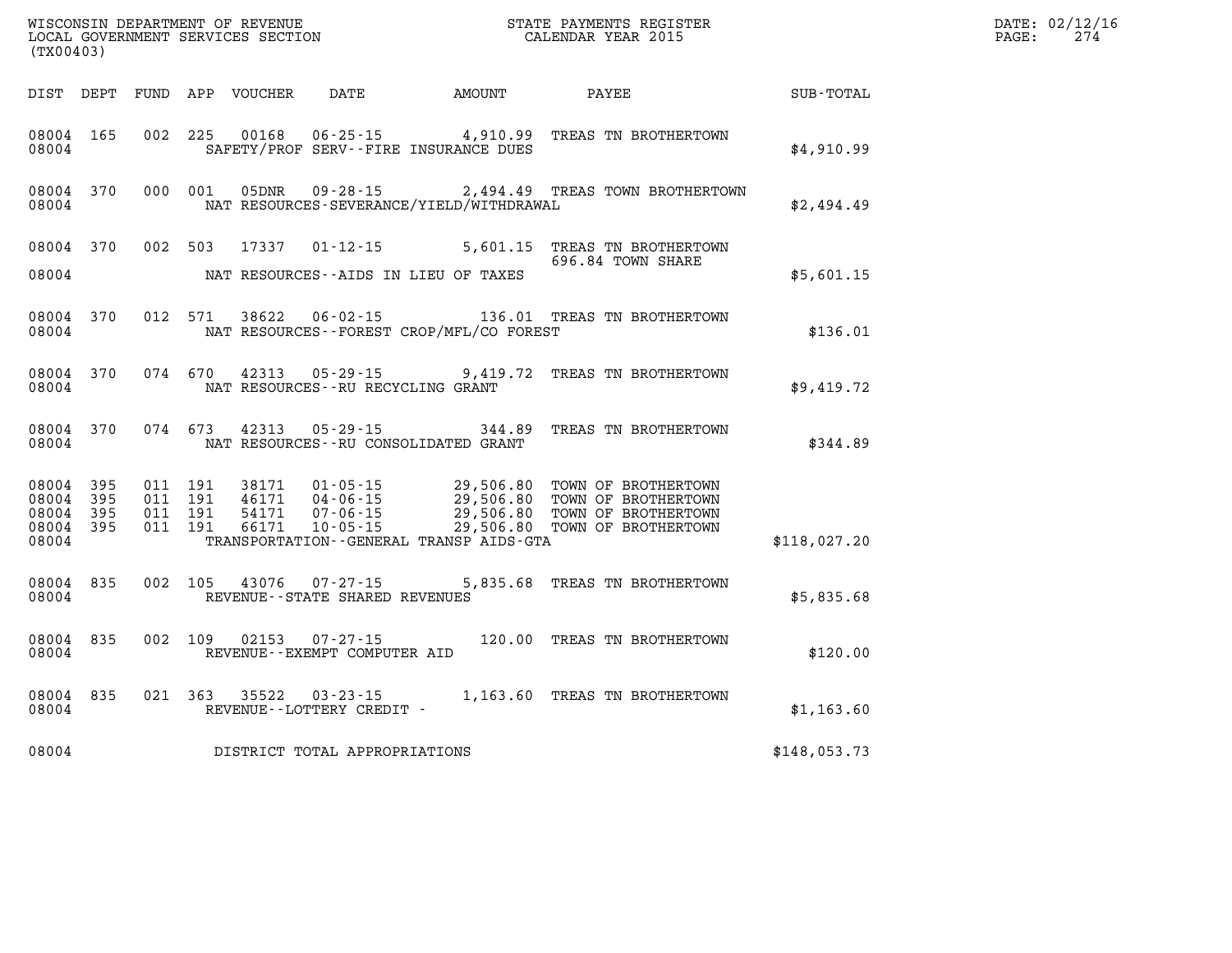| WISCONSIN DEPARTMENT OF REVENUE<br>LOCAL GOVERNMENT SERVICES SECTION<br>(TX00403) |                     |                                          |         |                                  |                                                                |                                                                                                                                                                 | STATE PAYMENTS REGISTER<br>CALENDAR YEAR 2015                                                      |              | DATE: 02/12/16<br>PAGE:<br>274 |
|-----------------------------------------------------------------------------------|---------------------|------------------------------------------|---------|----------------------------------|----------------------------------------------------------------|-----------------------------------------------------------------------------------------------------------------------------------------------------------------|----------------------------------------------------------------------------------------------------|--------------|--------------------------------|
|                                                                                   |                     |                                          |         | DIST DEPT FUND APP VOUCHER DATE  |                                                                | <b>AMOUNT</b>                                                                                                                                                   | PAYEE                                                                                              | SUB-TOTAL    |                                |
| 08004 165<br>08004                                                                |                     |                                          | 002 225 | 00168                            |                                                                | SAFETY/PROF SERV--FIRE INSURANCE DUES                                                                                                                           | 06-25-15 4,910.99 TREAS TN BROTHERTOWN                                                             | \$4,910.99   |                                |
| 08004 370<br>08004                                                                |                     | 000 001                                  |         | 05DNR                            | 09 - 28 - 15                                                   | NAT RESOURCES-SEVERANCE/YIELD/WITHDRAWAL                                                                                                                        | 2,494.49 TREAS TOWN BROTHERTOWN                                                                    | \$2,494.49   |                                |
| 08004                                                                             | 08004 370           |                                          | 002 503 |                                  |                                                                | NAT RESOURCES--AIDS IN LIEU OF TAXES                                                                                                                            | 17337  01-12-15  5,601.15  TREAS TN BROTHERTOWN<br>696.84 TOWN SHARE                               | \$5,601.15   |                                |
| 08004                                                                             | 08004 370           |                                          | 012 571 |                                  |                                                                | NAT RESOURCES - - FOREST CROP/MFL/CO FOREST                                                                                                                     |                                                                                                    | \$136.01     |                                |
| 08004                                                                             | 08004 370           |                                          |         |                                  | 074 670 42313 05-29-15<br>NAT RESOURCES - - RU RECYCLING GRANT |                                                                                                                                                                 | 9,419.72 TREAS TN BROTHERTOWN                                                                      | \$9,419.72   |                                |
| 08004 370<br>08004                                                                |                     | 074 673                                  |         | 42313                            | 05 - 29 - 15                                                   | NAT RESOURCES - - RU CONSOLIDATED GRANT                                                                                                                         | 344.89 TREAS TN BROTHERTOWN                                                                        | \$344.89     |                                |
| 08004<br>08004<br>08004<br>08004 395<br>08004                                     | 395<br>395<br>- 395 | 011 191<br>011 191<br>011 191<br>011 191 |         | 38171<br>46171<br>54171<br>66171 | $10 - 05 - 15$                                                 | $01 - 05 - 15$<br>$04 - 06 - 15$<br>$07 - 06 - 15$<br>$10 - 05 - 15$<br>$29,506.80$<br>$10 - 05 - 15$<br>$29,506.80$<br>TRANSPORTATION--GENERAL TRANSP AIDS-GTA | TOWN OF BROTHERTOWN<br>TOWN OF BROTHERTOWN<br>TOWN OF BROTHERTOWN<br>29,506.80 TOWN OF BROTHERTOWN | \$118,027.20 |                                |
| 08004 835<br>08004                                                                |                     |                                          | 002 105 |                                  | 43076  07-27-15<br>REVENUE - - STATE SHARED REVENUES           |                                                                                                                                                                 | 5,835.68 TREAS TN BROTHERTOWN                                                                      | \$5,835.68   |                                |
| 08004                                                                             | 08004 835           |                                          | 002 109 | 02153                            | 07-27-15<br>REVENUE--EXEMPT COMPUTER AID                       |                                                                                                                                                                 | 120.00 TREAS TN BROTHERTOWN                                                                        | \$120.00     |                                |
| 08004 835<br>08004                                                                |                     |                                          | 021 363 | 35522                            | 03-23-15<br>REVENUE--LOTTERY CREDIT -                          |                                                                                                                                                                 | 1,163.60 TREAS TN BROTHERTOWN                                                                      | \$1,163.60   |                                |
| 08004                                                                             |                     |                                          |         |                                  | DISTRICT TOTAL APPROPRIATIONS                                  |                                                                                                                                                                 |                                                                                                    | \$148,053.73 |                                |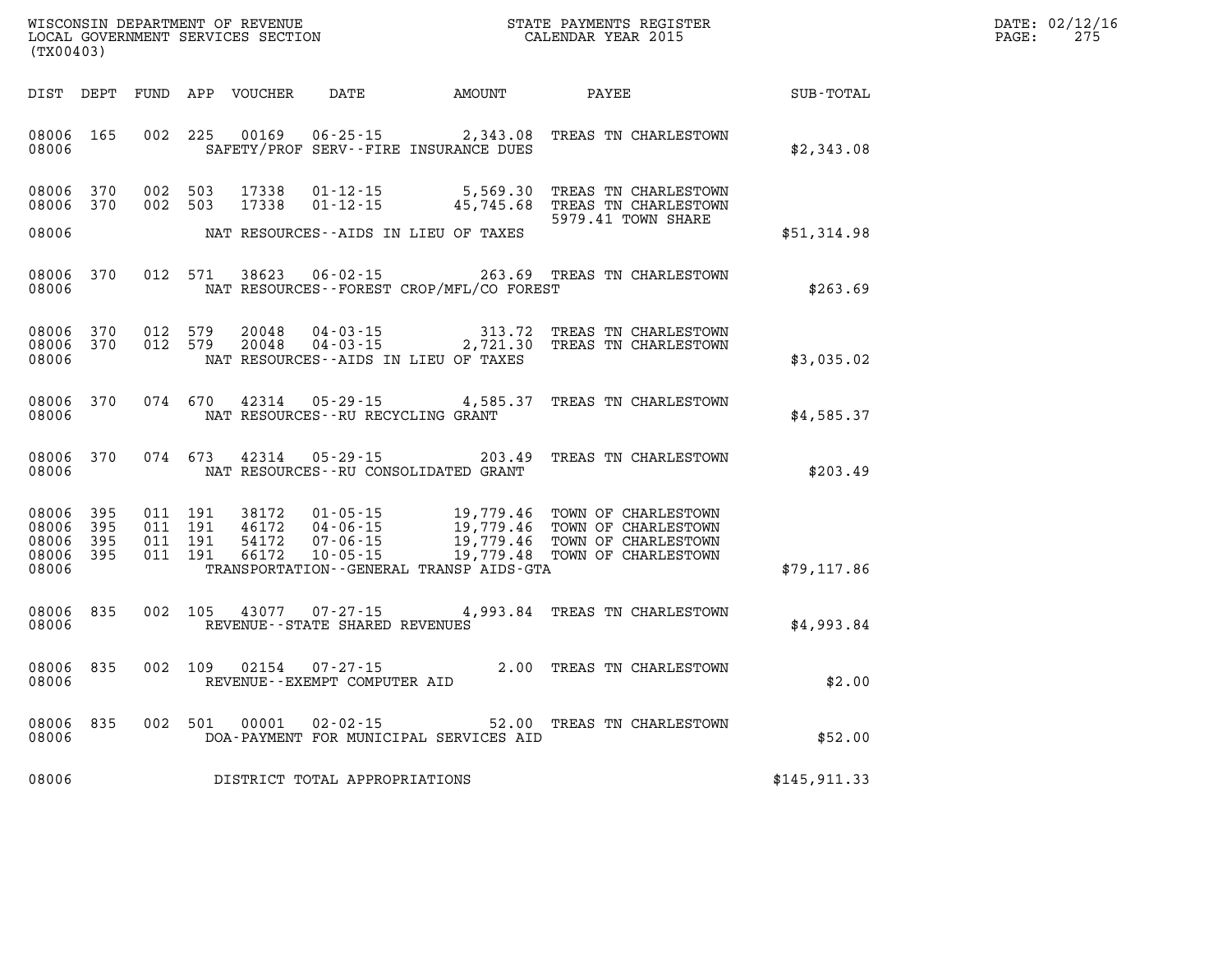| DATE: | 02/12/16 |
|-------|----------|
| PAGE: | 275      |

| WISCONSIN DEPARTMENT OF REVENUE<br>LOCAL GOVERNMENT SERVICES SECTION<br>(TX00403)                 |                                                                                                                                                                                 | STATE PAYMENTS REGISTER<br>CALENDAR YEAR 2015    |                                                                                          |              |
|---------------------------------------------------------------------------------------------------|---------------------------------------------------------------------------------------------------------------------------------------------------------------------------------|--------------------------------------------------|------------------------------------------------------------------------------------------|--------------|
| DIST<br>FUND<br>DEPT                                                                              | APP<br><b>VOUCHER</b><br>DATE                                                                                                                                                   | AMOUNT                                           | PAYEE                                                                                    | SUB-TOTAL    |
| 08006<br>165<br>002<br>08006                                                                      | 225<br>00169<br>$06 - 25 - 15$<br>SAFETY/PROF SERV--FIRE INSURANCE DUES                                                                                                         | 2,343.08                                         | TREAS TN CHARLESTOWN                                                                     | \$2,343.08   |
| 002<br>08006<br>370<br>002<br>08006<br>370                                                        | 503<br>17338<br>$01 - 12 - 15$<br>503<br>17338<br>$01 - 12 - 15$                                                                                                                | 5,569.30<br>45,745.68                            | TREAS TN CHARLESTOWN<br>TREAS TN CHARLESTOWN<br>5979.41 TOWN SHARE                       |              |
| 08006                                                                                             | NAT RESOURCES - AIDS IN LIEU OF TAXES                                                                                                                                           |                                                  |                                                                                          | \$51,314.98  |
| 08006<br>370<br>012<br>08006                                                                      | 571<br>38623<br>$06 - 02 - 15$<br>NAT RESOURCES - - FOREST CROP/MFL/CO FOREST                                                                                                   | 263.69                                           | TREAS TN CHARLESTOWN                                                                     | \$263.69     |
| 08006<br>370<br>012<br>08006<br>370<br>012<br>08006                                               | 579<br>20048<br>$04 - 03 - 15$<br>579<br>20048<br>$04 - 03 - 15$<br>NAT RESOURCES - AIDS IN LIEU OF TAXES                                                                       | 313.72<br>2,721.30                               | TREAS TN CHARLESTOWN<br>TREAS TN CHARLESTOWN                                             | \$3,035.02   |
| 08006<br>370<br>074<br>08006                                                                      | 670<br>42314<br>$05 - 29 - 15$<br>NAT RESOURCES - - RU RECYCLING GRANT                                                                                                          | 4,585.37                                         | TREAS TN CHARLESTOWN                                                                     | \$4,585.37   |
| 370<br>074<br>08006<br>08006                                                                      | 673<br>42314<br>$05 - 29 - 15$<br>NAT RESOURCES - - RU CONSOLIDATED GRANT                                                                                                       | 203.49                                           | TREAS TN CHARLESTOWN                                                                     | \$203.49     |
| 08006<br>395<br>011<br>011<br>08006<br>395<br>011<br>08006<br>395<br>08006<br>395<br>011<br>08006 | 191<br>38172<br>$01 - 05 - 15$<br>191<br>46172<br>$04 - 06 - 15$<br>191<br>54172<br>$07 - 06 - 15$<br>191<br>66172<br>$10 - 05 - 15$<br>TRANSPORTATION--GENERAL TRANSP AIDS-GTA | 19,779.46<br>19,779.46<br>19,779.46<br>19,779.48 | TOWN OF CHARLESTOWN<br>TOWN OF CHARLESTOWN<br>TOWN OF CHARLESTOWN<br>TOWN OF CHARLESTOWN | \$79, 117.86 |
| 835<br>002<br>08006<br>08006                                                                      | 105<br>43077<br>$07 - 27 - 15$<br>REVENUE - - STATE SHARED REVENUES                                                                                                             | 4,993.84                                         | TREAS TN CHARLESTOWN                                                                     | \$4,993.84   |
| 835<br>002<br>08006<br>08006                                                                      | 02154<br>$07 - 27 - 15$<br>109<br>REVENUE--EXEMPT COMPUTER AID                                                                                                                  | 2.00                                             | TREAS TN CHARLESTOWN                                                                     | \$2.00       |
| 002<br>08006<br>835<br>08006                                                                      | 501<br>00001<br>$02 - 02 - 15$<br>DOA-PAYMENT FOR MUNICIPAL SERVICES AID                                                                                                        | 52.00                                            | TREAS TN CHARLESTOWN                                                                     | \$52.00      |
| 08006                                                                                             | DISTRICT TOTAL APPROPRIATIONS                                                                                                                                                   |                                                  |                                                                                          | \$145,911.33 |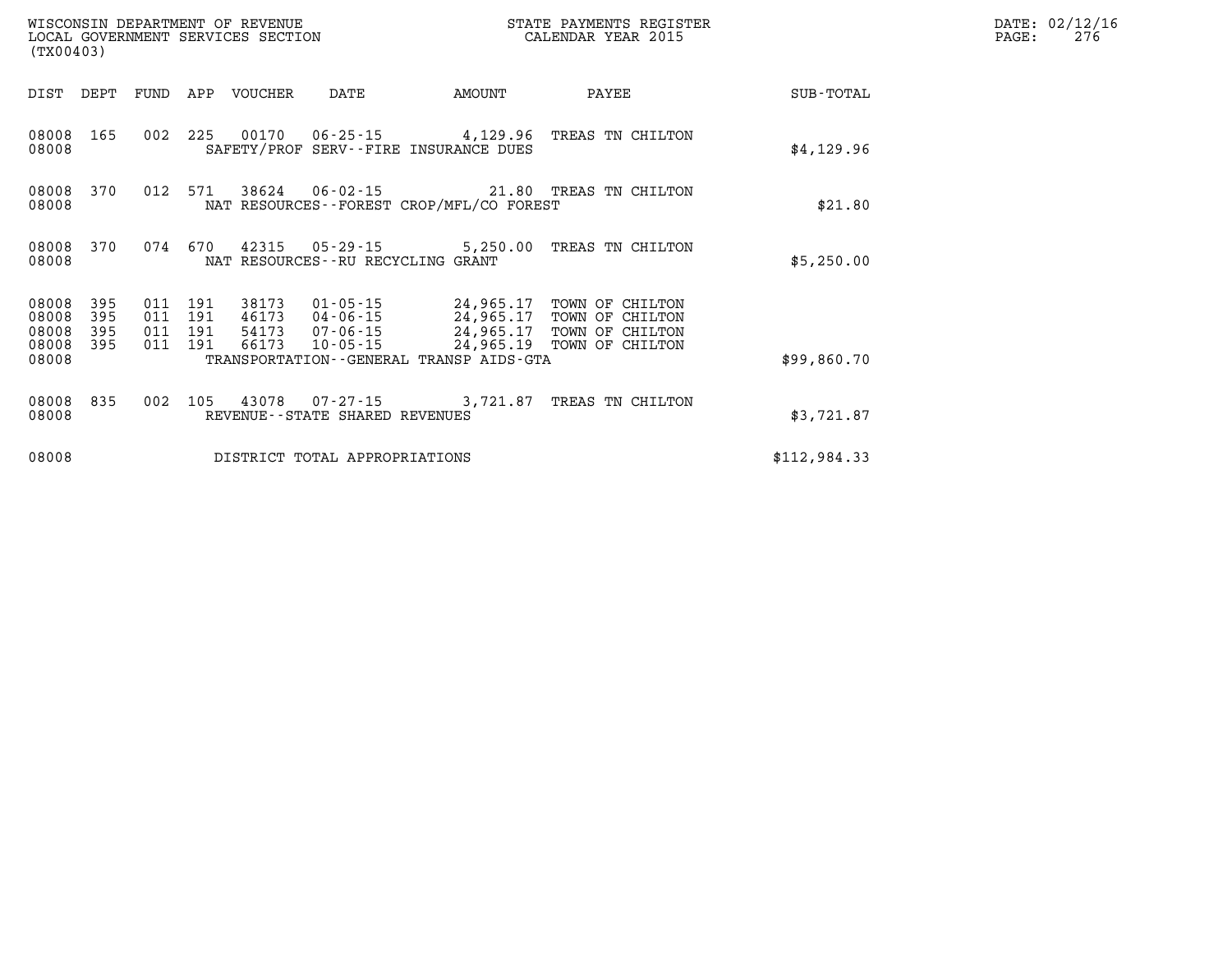| WISCONSIN DEPARTMENT OF REVENUE<br>LOCAL GOVERNMENT SERVICES SECTION<br>(TX00403) |                   |                               |  |             |                                      |                                              | STATE PAYMENTS REGISTER<br>CALENDAR YEAR 2015                                                                                                |              | DATE: 02/12/16<br>PAGE:<br>276 |
|-----------------------------------------------------------------------------------|-------------------|-------------------------------|--|-------------|--------------------------------------|----------------------------------------------|----------------------------------------------------------------------------------------------------------------------------------------------|--------------|--------------------------------|
| DIST DEPT                                                                         |                   | FUND                          |  | APP VOUCHER | DATE                                 | AMOUNT                                       | PAYEE                                                                                                                                        | SUB-TOTAL    |                                |
| 08008 165<br>08008                                                                |                   | 002 225                       |  |             |                                      | SAFETY/PROF SERV--FIRE INSURANCE DUES        | 00170  06-25-15  4,129.96  TREAS TN CHILTON                                                                                                  | \$4,129.96   |                                |
| 08008 370<br>08008                                                                |                   | 012 571                       |  |             |                                      | NAT RESOURCES - - FOREST CROP/MFL/CO FOREST  | 38624  06-02-15  21.80 TREAS TN CHILTON                                                                                                      | \$21.80      |                                |
| 08008 370<br>08008                                                                |                   | 074 670                       |  |             | NAT RESOURCES - - RU RECYCLING GRANT |                                              | 42315 05-29-15 5,250.00 TREAS TN CHILTON                                                                                                     | \$5,250.00   |                                |
| 08008<br>08008<br>08008                                                           | 395<br>395<br>395 | 011 191<br>011 191<br>011 191 |  | 38173       |                                      |                                              | 01-05-15 24,965.17 TOWN OF CHILTON<br>46173    04-06-15    24,965.17    TOWN OF CHILTON<br>54173    07-06-15    24,965.17    TOWN OF CHILTON |              |                                |
| 08008<br>08008                                                                    | 395               | 011 191                       |  | 66173       |                                      | TRANSPORTATION - - GENERAL TRANSP AIDS - GTA | 10-05-15 24,965.19 TOWN OF CHILTON                                                                                                           | \$99,860.70  |                                |
| 08008 835<br>08008                                                                |                   | 002 105                       |  |             | REVENUE--STATE SHARED REVENUES       |                                              | 43078  07-27-15  3,721.87  TREAS TN CHILTON                                                                                                  | \$3,721.87   |                                |
| 08008                                                                             |                   |                               |  |             | DISTRICT TOTAL APPROPRIATIONS        |                                              |                                                                                                                                              | \$112,984.33 |                                |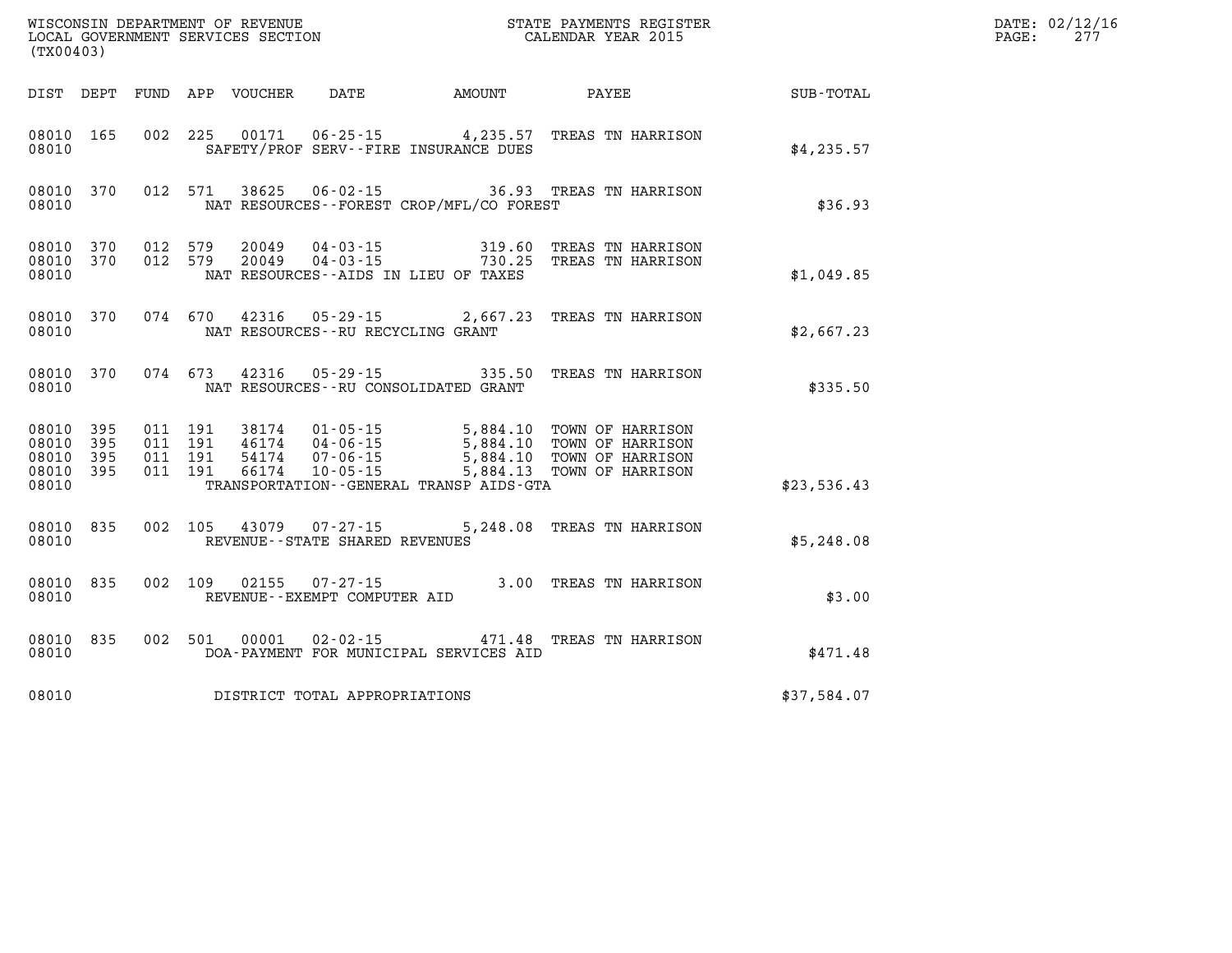| (TX00403)                                 |                          |                                          |         |                            |                                                                                                                                              |                                          |                                                                                                                  |             | DATE: 02/12/16<br>277<br>$\mathtt{PAGE:}$ |
|-------------------------------------------|--------------------------|------------------------------------------|---------|----------------------------|----------------------------------------------------------------------------------------------------------------------------------------------|------------------------------------------|------------------------------------------------------------------------------------------------------------------|-------------|-------------------------------------------|
|                                           |                          |                                          |         | DIST DEPT FUND APP VOUCHER | DATE                                                                                                                                         | <b>AMOUNT</b>                            | PAYEE                                                                                                            | SUB-TOTAL   |                                           |
| 08010 165<br>08010                        |                          |                                          |         |                            |                                                                                                                                              | SAFETY/PROF SERV--FIRE INSURANCE DUES    | 002 225 00171 06-25-15 4,235.57 TREAS TN HARRISON                                                                | \$4,235.57  |                                           |
| 08010                                     | 08010 370                |                                          | 012 571 |                            |                                                                                                                                              | NAT RESOURCES--FOREST CROP/MFL/CO FOREST | 38625  06-02-15  36.93  TREAS TN HARRISON                                                                        | \$36.93     |                                           |
| 08010<br>08010                            | 370                      | 08010 370 012 579<br>012 579             |         |                            |                                                                                                                                              | NAT RESOURCES -- AIDS IN LIEU OF TAXES   | 20049  04-03-15  319.60 TREAS TN HARRISON<br>20049  04-03-15  730.25 TREAS TN HARRISON                           | \$1,049.85  |                                           |
| 08010 370<br>08010                        |                          |                                          |         |                            |                                                                                                                                              | NAT RESOURCES--RU RECYCLING GRANT        | 074 670 42316 05-29-15 2,667.23 TREAS TN HARRISON                                                                | \$2,667.23  |                                           |
| 08010 370<br>08010                        |                          |                                          |         |                            |                                                                                                                                              | NAT RESOURCES - - RU CONSOLIDATED GRANT  | 074 673 42316 05-29-15 335.50 TREAS TN HARRISON                                                                  | \$335.50    |                                           |
| 08010<br>08010<br>08010<br>08010<br>08010 | 395<br>395<br>395<br>395 | 011 191<br>011 191<br>011 191<br>011 191 |         | 66174                      | 38174 01-05-15<br>46174 04-06-15<br>$\begin{array}{cc}\n 401/4 & 04-06-15 \\  54174 & 07-06-15 \\  66174 & 160-15\n \end{array}$<br>10-05-15 | TRANSPORTATION--GENERAL TRANSP AIDS-GTA  | 5,884.10 TOWN OF HARRISON<br>5,884.10 TOWN OF HARRISON<br>5,884.10 TOWN OF HARRISON<br>5,884.13 TOWN OF HARRISON | \$23,536.43 |                                           |
| 08010 835<br>08010                        |                          | 002 105                                  |         |                            | REVENUE - - STATE SHARED REVENUES                                                                                                            |                                          | 43079  07-27-15  5,248.08 TREAS TN HARRISON                                                                      | \$5,248.08  |                                           |
| 08010 835<br>08010                        |                          | 002 109                                  |         |                            | $02155$ $07 - 27 - 15$<br>REVENUE--EXEMPT COMPUTER AID                                                                                       |                                          | 3.00 TREAS TN HARRISON                                                                                           | \$3.00      |                                           |
| 08010 835<br>08010                        |                          | 002 501                                  |         |                            | 00001 02-02-15                                                                                                                               | DOA-PAYMENT FOR MUNICIPAL SERVICES AID   | 471.48 TREAS TN HARRISON                                                                                         | \$471.48    |                                           |
| 08010                                     |                          |                                          |         |                            | DISTRICT TOTAL APPROPRIATIONS                                                                                                                |                                          |                                                                                                                  | \$37,584.07 |                                           |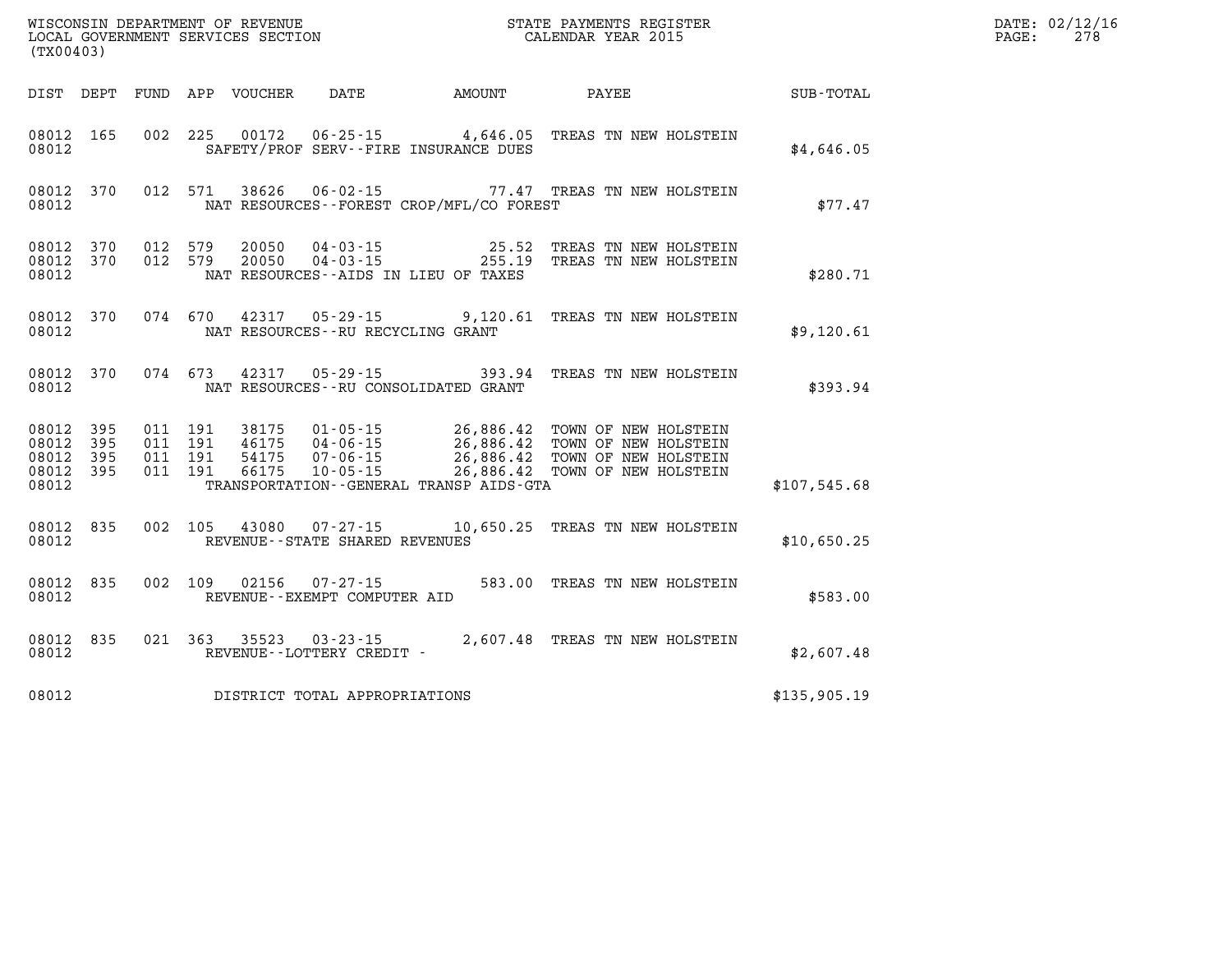| WISCONSIN DEPARTMENT OF REVENUE   | STATE PAYMENTS REGISTER |       | DATE: 02/12/16 |
|-----------------------------------|-------------------------|-------|----------------|
| LOCAL GOVERNMENT SERVICES SECTION | CALENDAR YEAR 2015      | PAGE: | 278            |

| CALENDAR YEAR 2015<br>LOCAL GOVERNMENT SERVICES SECTION<br>(TX00403) |                     |  |                                          |                                  |                                                       |                                          |                                                                                                                                                                                      |              | PAGE: | 278 |
|----------------------------------------------------------------------|---------------------|--|------------------------------------------|----------------------------------|-------------------------------------------------------|------------------------------------------|--------------------------------------------------------------------------------------------------------------------------------------------------------------------------------------|--------------|-------|-----|
| DIST DEPT                                                            |                     |  |                                          | FUND APP VOUCHER                 |                                                       |                                          | DATE AMOUNT PAYEE SUB-TOTAL                                                                                                                                                          |              |       |     |
| 08012 165<br>08012                                                   |                     |  | 002 225                                  | 00172                            |                                                       | SAFETY/PROF SERV--FIRE INSURANCE DUES    | 06-25-15 4,646.05 TREAS TN NEW HOLSTEIN                                                                                                                                              | \$4,646.05   |       |     |
| 08012 370<br>08012                                                   |                     |  | 012 571                                  | 38626                            | 06-02-15                                              | NAT RESOURCES--FOREST CROP/MFL/CO FOREST | 77.47 TREAS TN NEW HOLSTEIN                                                                                                                                                          | \$77.47      |       |     |
| 08012 370<br>08012<br>08012                                          | 370                 |  | 012 579<br>012 579                       | 20050<br>20050                   | $04 - 03 - 15$<br>$04 - 03 - 15$                      | NAT RESOURCES -- AIDS IN LIEU OF TAXES   | 25.52 TREAS TN NEW HOLSTEIN<br>255.19 TREAS TN NEW HOLSTEIN                                                                                                                          | \$280.71     |       |     |
| 08012<br>08012                                                       | 370                 |  | 074 670                                  | 42317                            | $05 - 29 - 15$<br>NAT RESOURCES -- RU RECYCLING GRANT |                                          | 9,120.61 TREAS TN NEW HOLSTEIN                                                                                                                                                       | \$9,120.61   |       |     |
| 08012 370<br>08012                                                   |                     |  | 074 673                                  | 42317                            | $05 - 29 - 15$                                        | NAT RESOURCES - - RU CONSOLIDATED GRANT  | 393.94 TREAS TN NEW HOLSTEIN                                                                                                                                                         | \$393.94     |       |     |
| 08012 395<br>08012<br>08012<br>08012<br>08012                        | 395<br>395<br>- 395 |  | 011 191<br>011 191<br>011 191<br>011 191 | 38175<br>46175<br>54175<br>66175 | $01 - 05 - 15$                                        | TRANSPORTATION--GENERAL TRANSP AIDS-GTA  | 26,886.42 TOWN OF NEW HOLSTEIN<br>04-06-15<br>04-06-15<br>07-06-15<br>26,886.42 TOWN OF NEW HOLSTEIN<br>10-05-15<br>26,886.42 TOWN OF NEW HOLSTEIN<br>26,886.42 TOWN OF NEW HOLSTEIN | \$107.545.68 |       |     |
| 08012<br>08012                                                       | 835                 |  | 002 105                                  | 43080                            | $07 - 27 - 15$<br>REVENUE--STATE SHARED REVENUES      |                                          | 10,650.25 TREAS TN NEW HOLSTEIN                                                                                                                                                      | \$10,650.25  |       |     |
| 08012 835<br>08012                                                   |                     |  | 002 109                                  | 02156                            | $07 - 27 - 15$<br>REVENUE--EXEMPT COMPUTER AID        |                                          | 583.00 TREAS TN NEW HOLSTEIN                                                                                                                                                         | \$583.00     |       |     |
| 08012 835<br>08012                                                   |                     |  | 021 363                                  | 35523                            | REVENUE--LOTTERY CREDIT -                             |                                          | $03 - 23 - 15$<br>2,607.48 TREAS TN NEW HOLSTEIN                                                                                                                                     | \$2,607.48   |       |     |
| 08012                                                                |                     |  |                                          |                                  | DISTRICT TOTAL APPROPRIATIONS                         |                                          |                                                                                                                                                                                      | \$135,905.19 |       |     |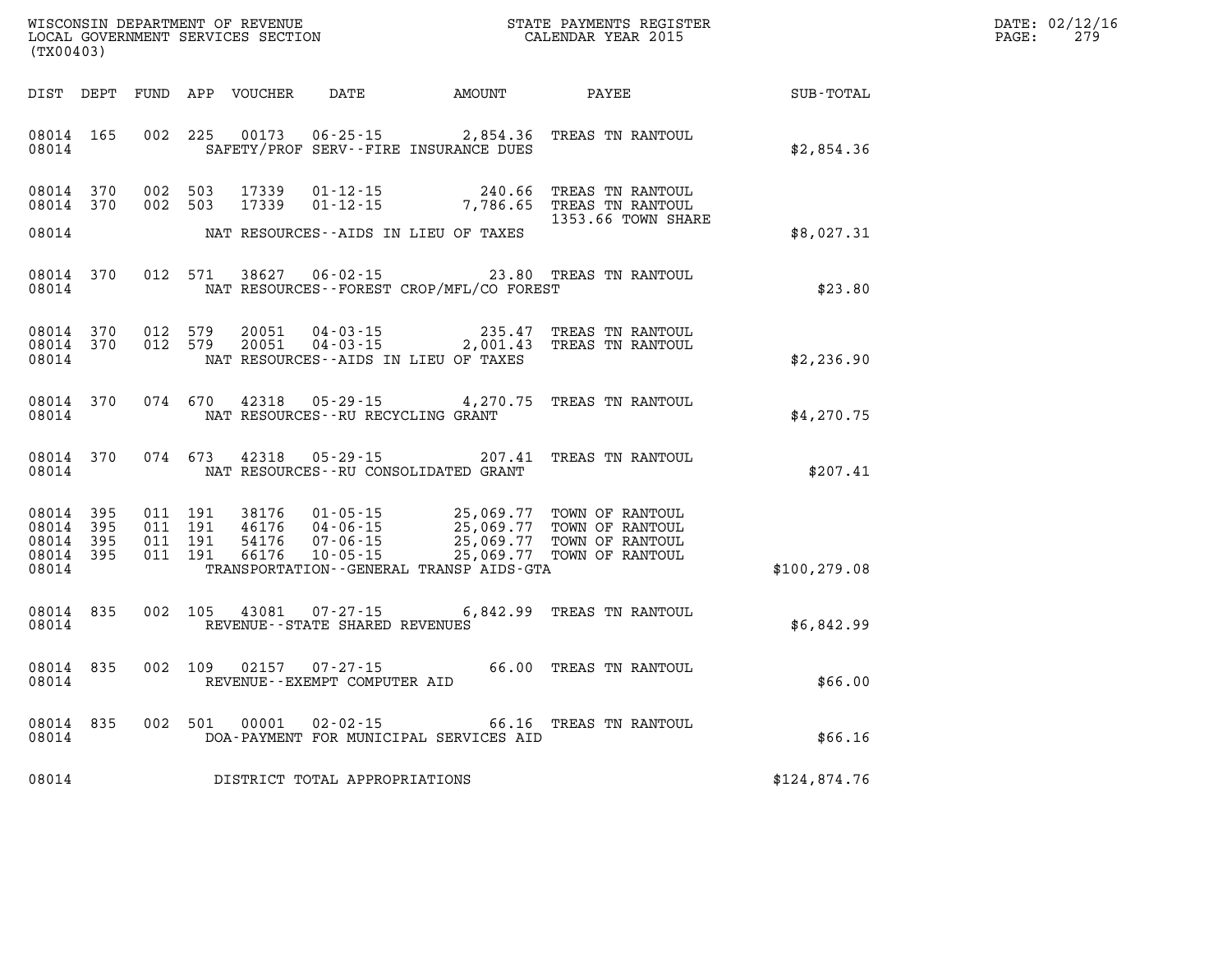| WISCONSIN DEPARTMENT OF REVENUE   | STATE PAYMENTS REGISTER | DATE:       | .: 02/12/16 |
|-----------------------------------|-------------------------|-------------|-------------|
| LOCAL GOVERNMENT SERVICES SECTION |                         |             | 27c         |
|                                   | CALENDAR YEAR 2015      | <b>PAGE</b> | <u> 41.</u> |

|                                                  | LOCAL GOVERNMENT SERVICES SECTION CALENDAR YEAR 2015<br>(TX00403) |  |  |                                  |                                   |                                          |                                                                                                                                                                                                                                                                                                                                           | PAGE:         | 279 |  |
|--------------------------------------------------|-------------------------------------------------------------------|--|--|----------------------------------|-----------------------------------|------------------------------------------|-------------------------------------------------------------------------------------------------------------------------------------------------------------------------------------------------------------------------------------------------------------------------------------------------------------------------------------------|---------------|-----|--|
|                                                  |                                                                   |  |  |                                  |                                   |                                          |                                                                                                                                                                                                                                                                                                                                           |               |     |  |
| 08014                                            |                                                                   |  |  |                                  |                                   | SAFETY/PROF SERV--FIRE INSURANCE DUES    | 08014 165 002 225 00173 06-25-15 2,854.36 TREAS TN RANTOUL                                                                                                                                                                                                                                                                                | \$2,854.36    |     |  |
|                                                  | 08014 370 002 503                                                 |  |  | 08014 370 002 503 17339<br>17339 |                                   |                                          | 01-12-15 240.66 TREAS TN RANTOUL<br>01-12-15 7,786.65 TREAS TN RANTOUL<br>1353.66 TOWN SHARE                                                                                                                                                                                                                                              |               |     |  |
| 08014                                            |                                                                   |  |  |                                  |                                   | NAT RESOURCES--AIDS IN LIEU OF TAXES     |                                                                                                                                                                                                                                                                                                                                           | \$8,027.31    |     |  |
| 08014                                            |                                                                   |  |  |                                  |                                   | NAT RESOURCES--FOREST CROP/MFL/CO FOREST | 08014 370 012 571 38627 06-02-15 23.80 TREAS TN RANTOUL                                                                                                                                                                                                                                                                                   | \$23.80       |     |  |
| 08014                                            |                                                                   |  |  |                                  |                                   | NAT RESOURCES--AIDS IN LIEU OF TAXES     | $\begin{array}{cccc} 08014 & 370 & 012 & 579 & 20051 & 04\cdot 03\cdot 15 & 235.47 & \text{TREAS TN RANTOUL} \\ 08014 & 370 & 012 & 579 & 20051 & 04\cdot 03\cdot 15 & 2,001.43 & \text{TREAS TN RANTOUL} \end{array}$                                                                                                                    | \$2,236.90    |     |  |
| 08014                                            |                                                                   |  |  |                                  | NAT RESOURCES--RU RECYCLING GRANT |                                          | 08014 370 074 670 42318 05-29-15 4,270.75 TREAS TN RANTOUL                                                                                                                                                                                                                                                                                | \$4,270.75    |     |  |
| 08014                                            |                                                                   |  |  | 08014 370 074 673 42318          |                                   | NAT RESOURCES--RU CONSOLIDATED GRANT     | 05-29-15 207.41 TREAS TN RANTOUL                                                                                                                                                                                                                                                                                                          | \$207.41      |     |  |
| 08014 395<br>08014 395<br>08014 395<br>08014 395 |                                                                   |  |  |                                  |                                   |                                          | $\begin{array}{cccc} 011 & 191 & 38176 & 01\cdot 05\cdot 15 & 25\,, 069\,.77 & \text{TOWN OF RANTOUL} \\ 011 & 191 & 46176 & 04\cdot 06\cdot 15 & 25\,, 069\,.77 & \text{TOWN OF RANTOUL} \\ 011 & 191 & 54176 & 07\cdot 06\cdot 15 & 25\,, 069\,.77 & \text{TOWN OF RANTOUL} \\ 011 & 191 & 66176 & 10\cdot 05\cdot 15 & 25\,, 069\,.77$ |               |     |  |
| 08014                                            |                                                                   |  |  |                                  |                                   | TRANSPORTATION--GENERAL TRANSP AIDS-GTA  |                                                                                                                                                                                                                                                                                                                                           | \$100, 279.08 |     |  |
|                                                  | 08014 835<br>08014                                                |  |  |                                  | REVENUE--STATE SHARED REVENUES    |                                          | 002 105 43081 07-27-15 6,842.99 TREAS TN RANTOUL                                                                                                                                                                                                                                                                                          | \$6,842.99    |     |  |
| 08014                                            |                                                                   |  |  |                                  | REVENUE--EXEMPT COMPUTER AID      |                                          | 08014 835 002 109 02157 07-27-15 66.00 TREAS TN RANTOUL                                                                                                                                                                                                                                                                                   | \$66.00       |     |  |
| 08014                                            |                                                                   |  |  |                                  | 08014 835 002 501 00001 02-02-15  | DOA-PAYMENT FOR MUNICIPAL SERVICES AID   | 66.16 TREAS TN RANTOUL                                                                                                                                                                                                                                                                                                                    | \$66.16       |     |  |
| 08014                                            |                                                                   |  |  |                                  | DISTRICT TOTAL APPROPRIATIONS     |                                          |                                                                                                                                                                                                                                                                                                                                           | \$124,874.76  |     |  |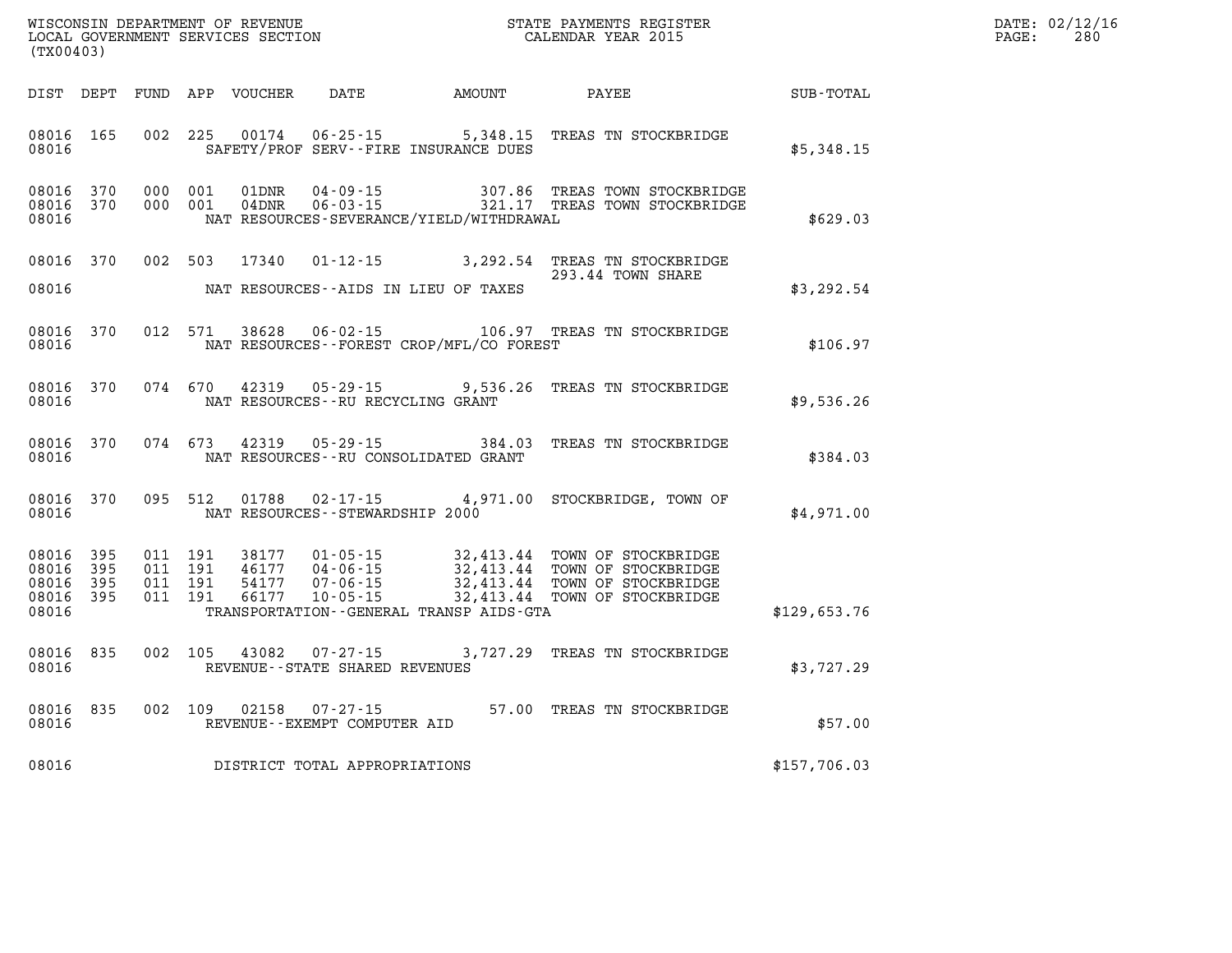| WISCONSIN DEPARTMENT OF REVENUE                  | STATE PAYMENTS REGISTER |       | DATE: 02/12/16 |
|--------------------------------------------------|-------------------------|-------|----------------|
| LOCAL GOVERNMENT SERVICES SECTION<br>$1 - 2 - 0$ | CALENDAR YEAR 2015      | PAGE: | 280            |

| (TX00403)                                             |                        |                    | LOCAL GOVERNMENT SERVICES SECTION |                                     | CALENDAR YEAR 2015                       |                                                                                                                                                                                                                                                                                                                                            |              | PAGE: | 280 |
|-------------------------------------------------------|------------------------|--------------------|-----------------------------------|-------------------------------------|------------------------------------------|--------------------------------------------------------------------------------------------------------------------------------------------------------------------------------------------------------------------------------------------------------------------------------------------------------------------------------------------|--------------|-------|-----|
|                                                       |                        |                    |                                   |                                     |                                          |                                                                                                                                                                                                                                                                                                                                            |              |       |     |
| 08016                                                 | 08016 165              |                    |                                   |                                     | SAFETY/PROF SERV--FIRE INSURANCE DUES    | 002 225 00174 06-25-15 5,348.15 TREAS TN STOCKBRIDGE                                                                                                                                                                                                                                                                                       | \$5,348.15   |       |     |
| 08016                                                 | 08016 370<br>08016 370 | 000 001<br>000 001 |                                   |                                     | NAT RESOURCES-SEVERANCE/YIELD/WITHDRAWAL | $\begin{tabular}{llllll} 01DNR & 04-09-15 & 307.86 & TREAS TOWN STOCKBRIDGE \\ 04DNR & 06-03-15 & 321.17 & TREAS TOWN STOCKBRIDGE \end{tabular}$                                                                                                                                                                                           | \$629.03     |       |     |
| 08016                                                 |                        |                    |                                   |                                     | NAT RESOURCES--AIDS IN LIEU OF TAXES     | 08016 370 002 503 17340 01-12-15 3,292.54 TREAS TN STOCKBRIDGE<br>293.44 TOWN SHARE                                                                                                                                                                                                                                                        | \$3,292.54   |       |     |
| 08016                                                 | 08016 370              |                    |                                   |                                     | NAT RESOURCES--FOREST CROP/MFL/CO FOREST | 012 571 38628 06-02-15 106.97 TREAS TN STOCKBRIDGE                                                                                                                                                                                                                                                                                         | \$106.97     |       |     |
| 08016                                                 | 08016 370              |                    | 074 670 42319                     | NAT RESOURCES -- RU RECYCLING GRANT |                                          | 05-29-15 9,536.26 TREAS TN STOCKBRIDGE                                                                                                                                                                                                                                                                                                     | \$9,536.26   |       |     |
| 08016                                                 | 08016 370              |                    |                                   |                                     | NAT RESOURCES--RU CONSOLIDATED GRANT     | 074 673 42319 05-29-15 384.03 TREAS TN STOCKBRIDGE                                                                                                                                                                                                                                                                                         | \$384.03     |       |     |
| 08016                                                 | 08016 370              |                    |                                   |                                     | NAT RESOURCES -- STEWARDSHIP 2000        | 095 512 01788 02-17-15 4,971.00 STOCKBRIDGE, TOWN OF                                                                                                                                                                                                                                                                                       | \$4,971.00   |       |     |
| 08016<br>08016 395<br>08016 395<br>08016 395<br>08016 | 395                    |                    |                                   |                                     | TRANSPORTATION--GENERAL TRANSP AIDS-GTA  | $\begin{array}{cccc} 011 & 191 & 38177 & 01\cdot 05\cdot 15 & 32\,413\,44 & \textrm{TOWN OF STOCKBRIDGE} \\ 011 & 191 & 46177 & 04\cdot 06\cdot 15 & 32\,413\,44 & \textrm{TOWN OF STOCKBRIDGE} \\ 011 & 191 & 54177 & 07\cdot 06\cdot 15 & 32\,413\,44 & \textrm{TOWN OF STOCKBRIDGE} \\ 011 & 191 & 66177 & 10\cdot 05\cdot 15 & 32\,41$ | \$129,653.76 |       |     |
| 08016                                                 | 08016 835              |                    |                                   | REVENUE--STATE SHARED REVENUES      |                                          | 002 105 43082 07-27-15 3,727.29 TREAS TN STOCKBRIDGE                                                                                                                                                                                                                                                                                       | \$3,727.29   |       |     |
| 08016                                                 | 08016 835              |                    | 002 109 02158                     | REVENUE--EXEMPT COMPUTER AID        |                                          | 07-27-15 57.00 TREAS TN STOCKBRIDGE                                                                                                                                                                                                                                                                                                        | \$57.00      |       |     |
| 08016                                                 |                        |                    |                                   | DISTRICT TOTAL APPROPRIATIONS       |                                          |                                                                                                                                                                                                                                                                                                                                            | \$157,706.03 |       |     |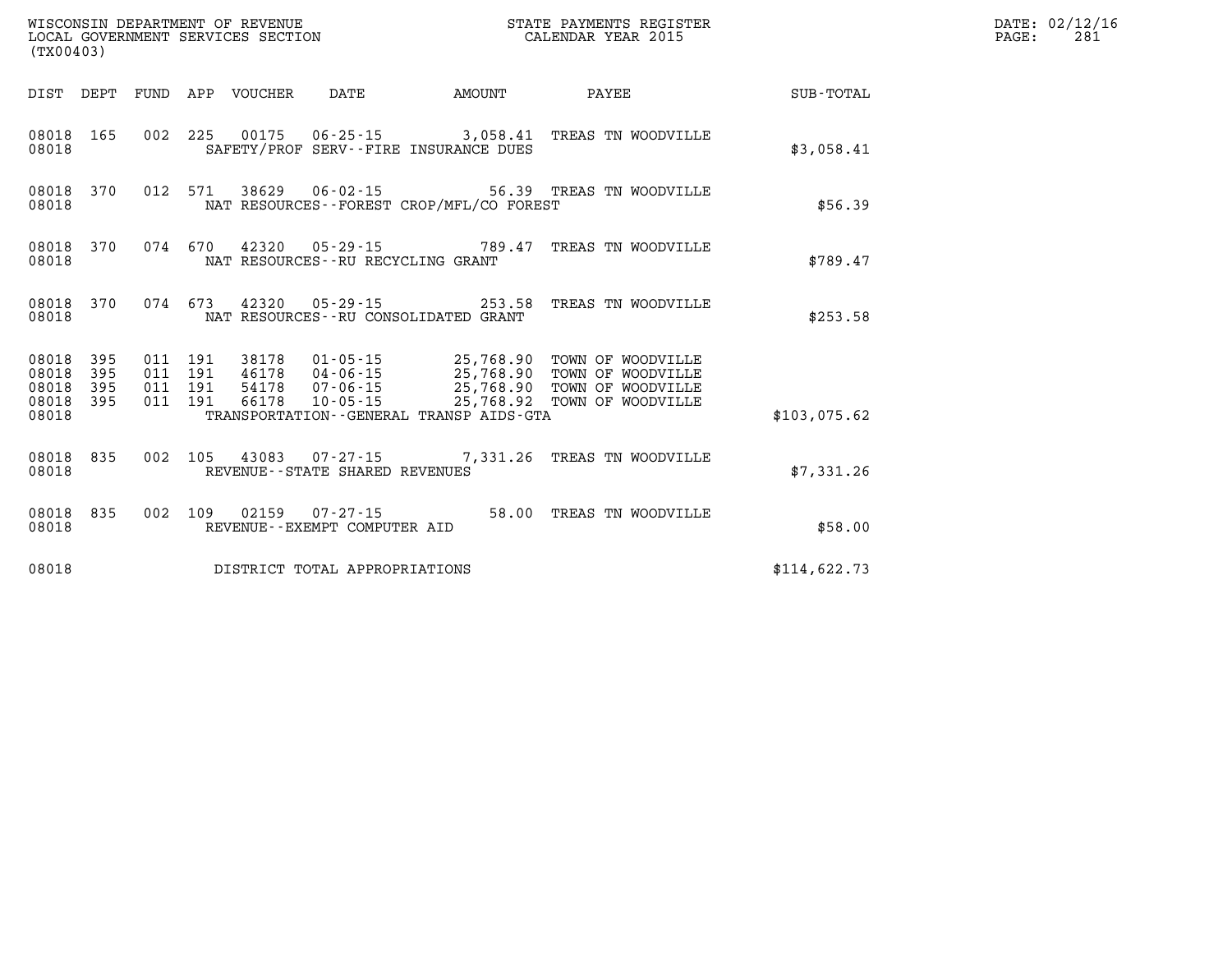| (TX00403)                                         |            |                               |         |                                 |                                                        |                                             |                                                                                                                                                                                              |              | DATE: 02/12/16<br>PAGE:<br>281 |
|---------------------------------------------------|------------|-------------------------------|---------|---------------------------------|--------------------------------------------------------|---------------------------------------------|----------------------------------------------------------------------------------------------------------------------------------------------------------------------------------------------|--------------|--------------------------------|
|                                                   |            |                               |         | DIST DEPT FUND APP VOUCHER DATE |                                                        | <b>EXAMPLE THE AMOUNT</b>                   | <b>PAYEE</b>                                                                                                                                                                                 | SUB-TOTAL    |                                |
| 08018 165<br>08018                                |            |                               |         |                                 |                                                        | SAFETY/PROF SERV--FIRE INSURANCE DUES       | 002 225 00175 06-25-15 3,058.41 TREAS TN WOODVILLE                                                                                                                                           | \$3,058.41   |                                |
| 08018                                             | 08018 370  |                               |         |                                 | 012 571 38629 06-02-15                                 | NAT RESOURCES - - FOREST CROP/MFL/CO FOREST | 56.39 TREAS TN WOODVILLE                                                                                                                                                                     | \$56.39      |                                |
| 08018                                             |            |                               |         |                                 | NAT RESOURCES -- RU RECYCLING GRANT                    |                                             | 08018 370 074 670 42320 05-29-15 789.47 TREAS TN WOODVILLE                                                                                                                                   | \$789.47     |                                |
| 08018                                             | 08018 370  |                               |         |                                 |                                                        | NAT RESOURCES -- RU CONSOLIDATED GRANT      | 074 673 42320 05-29-15 253.58 TREAS TN WOODVILLE                                                                                                                                             | \$253.58     |                                |
| 08018 395<br>08018<br>08018<br>08018 395<br>08018 | 395<br>395 | 011 191<br>011 191<br>011 191 | 011 191 |                                 |                                                        | TRANSPORTATION--GENERAL TRANSP AIDS-GTA     | 38178  01-05-15  25,768.90 TOWN OF WOODVILLE<br>46178  04-06-15  25,768.90 TOWN OF WOODVILLE<br>54178  07-06-15  25,768.90 TOWN OF WOODVILLE<br>66178  10-05-15  25,768.92 TOWN OF WOODVILLE | \$103,075.62 |                                |
| 08018                                             | 08018 835  |                               |         |                                 | REVENUE--STATE SHARED REVENUES                         |                                             | 002 105 43083 07-27-15 7,331.26 TREAS TN WOODVILLE                                                                                                                                           | \$7,331.26   |                                |
| 08018 835<br>08018                                |            |                               |         |                                 | 002 109 02159 07-27-15<br>REVENUE--EXEMPT COMPUTER AID |                                             | 58.00 TREAS TN WOODVILLE                                                                                                                                                                     | \$58.00      |                                |
| 08018                                             |            |                               |         |                                 | DISTRICT TOTAL APPROPRIATIONS                          |                                             |                                                                                                                                                                                              | \$114,622.73 |                                |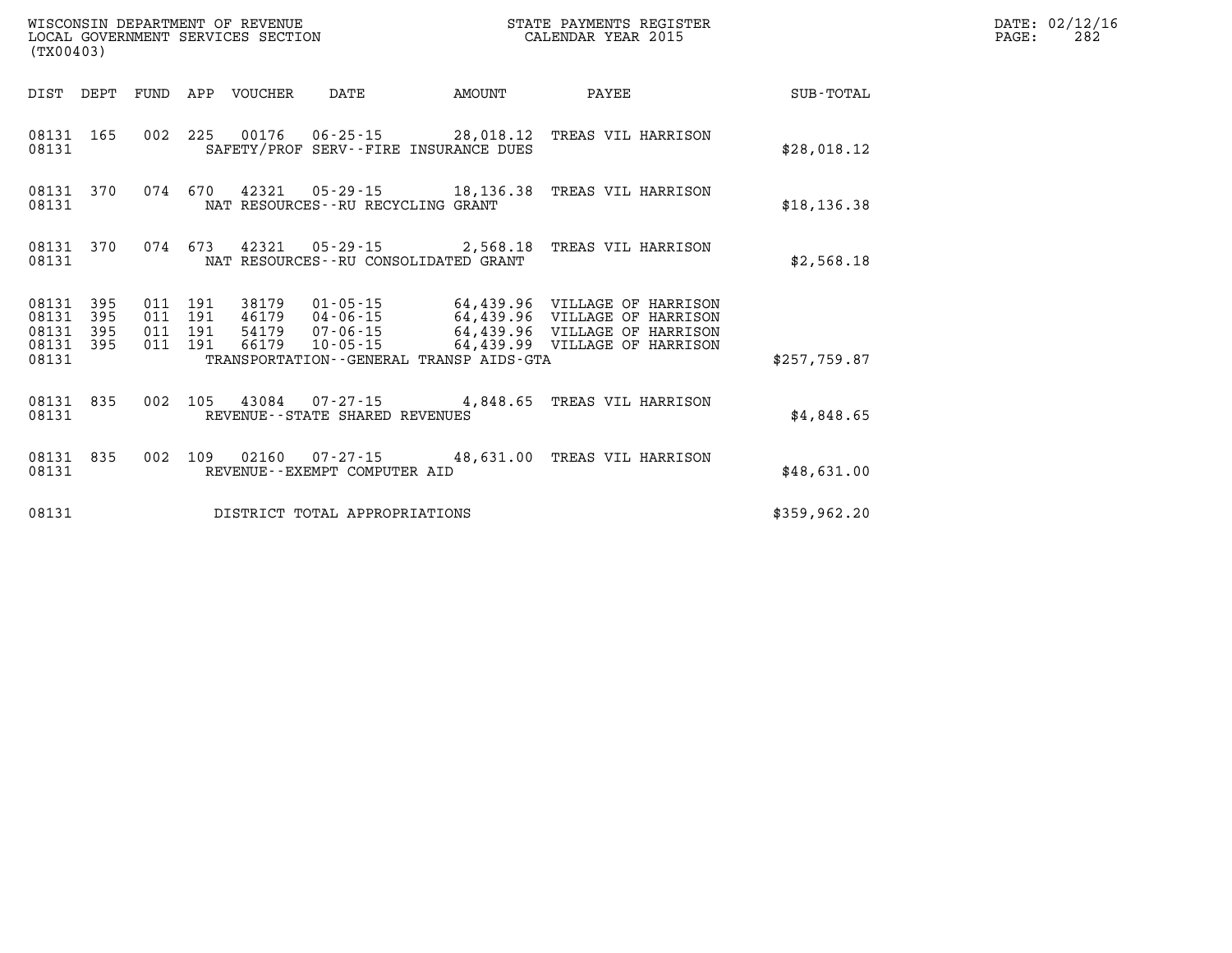| WISCONSIN DEPARTMENT OF REVENUE<br>LOCAL GOVERNMENT SERVICES SECTION<br>(TX00403) |                          |                          |                          |                                  |                                                                    |        |                                                                                                                                  |               |
|-----------------------------------------------------------------------------------|--------------------------|--------------------------|--------------------------|----------------------------------|--------------------------------------------------------------------|--------|----------------------------------------------------------------------------------------------------------------------------------|---------------|
| DIST                                                                              | DEPT                     | FUND                     | APP                      | VOUCHER                          | DATE                                                               | AMOUNT | PAYEE                                                                                                                            | SUB-TOTAL     |
| 08131<br>08131                                                                    | 165                      | 002                      | 225                      |                                  | 00176 06-25-15 28,018.12<br>SAFETY/PROF SERV--FIRE INSURANCE DUES  |        | TREAS VIL HARRISON                                                                                                               | \$28,018.12   |
| 08131<br>08131                                                                    | 370                      | 074                      | 670                      | 42321                            | $05 - 29 - 15$ 18, 136.38<br>NAT RESOURCES - - RU RECYCLING GRANT  |        | TREAS VIL HARRISON                                                                                                               | \$18, 136.38  |
| 08131<br>08131                                                                    | 370                      | 074                      | 673                      | 42321                            | $05 - 29 - 15$ 2,568.18<br>NAT RESOURCES - - RU CONSOLIDATED GRANT |        | TREAS VIL HARRISON                                                                                                               | \$2,568.18    |
| 08131<br>08131<br>08131<br>08131                                                  | 395<br>395<br>395<br>395 | 011<br>011<br>011<br>011 | 191<br>191<br>191<br>191 | 46179 04-06-15<br>54179<br>66179 | 38179 01-05-15<br>$07 - 06 - 15$<br>$10 - 05 - 15$                 |        | 64,439.96 VILLAGE OF HARRISON<br>64,439.96 VILLAGE OF HARRISON<br>64,439.96 VILLAGE OF HARRISON<br>64,439.99 VILLAGE OF HARRISON |               |
| 08131                                                                             |                          |                          |                          |                                  | TRANSPORTATION--GENERAL TRANSP AIDS-GTA                            |        |                                                                                                                                  | \$257,759.87  |
| 08131<br>08131                                                                    | 835                      | 002                      | 105                      | 43084                            | $07 - 27 - 15$ 4,848.65<br>REVENUE--STATE SHARED REVENUES          |        | TREAS VIL HARRISON                                                                                                               | \$4,848.65    |
| 08131<br>08131                                                                    | 835                      | 002                      | 109                      | 02160                            | $07 - 27 - 15$ 48,631.00<br>REVENUE--EXEMPT COMPUTER AID           |        | TREAS VIL HARRISON                                                                                                               | \$48,631.00   |
| 08131                                                                             |                          |                          |                          |                                  | DISTRICT TOTAL APPROPRIATIONS                                      |        |                                                                                                                                  | \$359, 962.20 |

**DATE: 02/12/16<br>PAGE: 282**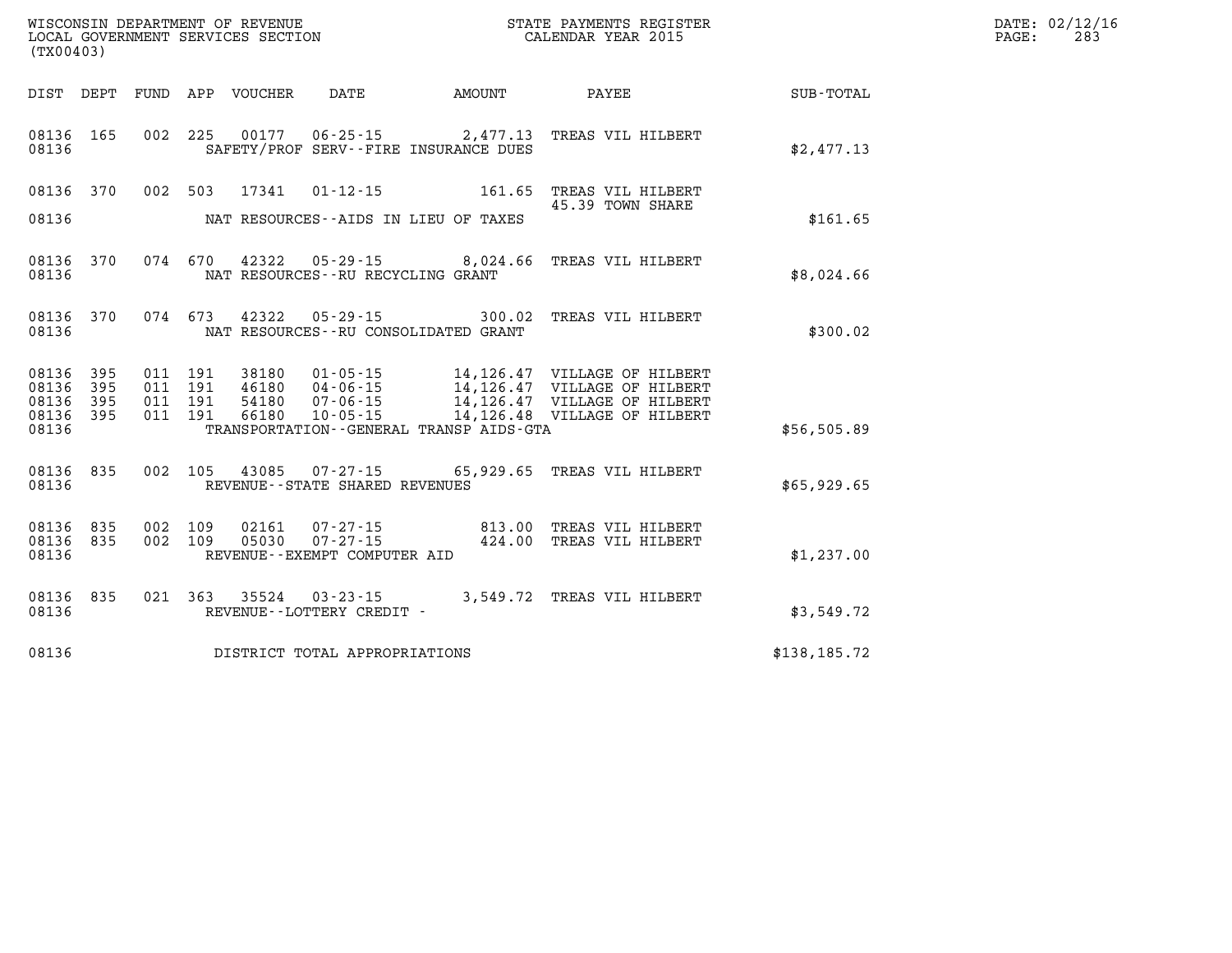| (TX00403)                                             |           |         |                                          | WISCONSIN DEPARTMENT OF REVENUE<br>LOCAL GOVERNMENT SERVICES SECTION |                                                     |                                                                  | STATE PAYMENTS REGISTER<br>CALENDAR YEAR 2015                                                                            |              | DATE: 02/12/16<br>PAGE:<br>283 |
|-------------------------------------------------------|-----------|---------|------------------------------------------|----------------------------------------------------------------------|-----------------------------------------------------|------------------------------------------------------------------|--------------------------------------------------------------------------------------------------------------------------|--------------|--------------------------------|
|                                                       |           |         |                                          | DIST DEPT FUND APP VOUCHER DATE                                      |                                                     | <b>EXAMPLE THE AMOUNT</b>                                        | <b>PAYEE</b> PAYEE                                                                                                       | SUB-TOTAL    |                                |
| 08136 165<br>08136                                    |           |         | 002 225                                  | 00177                                                                |                                                     | $06 - 25 - 15$ 2,477.13<br>SAFETY/PROF SERV--FIRE INSURANCE DUES | TREAS VIL HILBERT                                                                                                        | \$2,477.13   |                                |
| 08136                                                 | 08136 370 |         | 002 503                                  | 17341                                                                |                                                     | NAT RESOURCES--AIDS IN LIEU OF TAXES                             | 01-12-15    161.65    TREAS VIL HILBERT<br>45.39 TOWN SHARE                                                              | \$161.65     |                                |
| 08136                                                 | 08136 370 |         | 074 670                                  |                                                                      | NAT RESOURCES--RU RECYCLING GRANT                   | 42322 05-29-15 8,024.66                                          | TREAS VIL HILBERT                                                                                                        | \$8,024.66   |                                |
| 08136                                                 | 08136 370 |         | 074 673                                  | 42322                                                                |                                                     | NAT RESOURCES--RU CONSOLIDATED GRANT                             | 05-29-15 300.02 TREAS VIL HILBERT                                                                                        | \$300.02     |                                |
| 08136 395<br>08136 395<br>08136<br>08136 395<br>08136 | 395       |         | 011 191<br>011 191<br>011 191<br>011 191 | 38180<br>46180<br>54180<br>66180                                     |                                                     | TRANSPORTATION--GENERAL TRANSP AIDS-GTA                          | 01-05-15 14,126.47 VILLAGE OF HILBERT<br>04-06-15 14,126.47 VILLAGE OF HILBERT<br>10-05-15 14, 126.48 VILLAGE OF HILBERT | \$56,505.89  |                                |
| 08136                                                 | 08136 835 |         |                                          |                                                                      | REVENUE--STATE SHARED REVENUES                      |                                                                  | 002 105 43085 07-27-15 65,929.65 TREAS VIL HILBERT                                                                       | \$65,929.65  |                                |
| 08136 835<br>08136                                    | 08136 835 | 002 109 | 002 109                                  | 02161<br>05030                                                       | REVENUE--EXEMPT COMPUTER AID                        |                                                                  | 07-27-15  813.00 TREAS VIL HILBERT<br>07-27-15  424.00 TREAS VIL HILBERT                                                 | \$1,237.00   |                                |
| 08136                                                 | 08136 835 |         |                                          |                                                                      | 021 363 35524 03-23-15<br>REVENUE--LOTTERY CREDIT - |                                                                  | 3,549.72 TREAS VIL HILBERT                                                                                               | \$3,549.72   |                                |
| 08136                                                 |           |         |                                          |                                                                      | DISTRICT TOTAL APPROPRIATIONS                       |                                                                  |                                                                                                                          | \$138,185.72 |                                |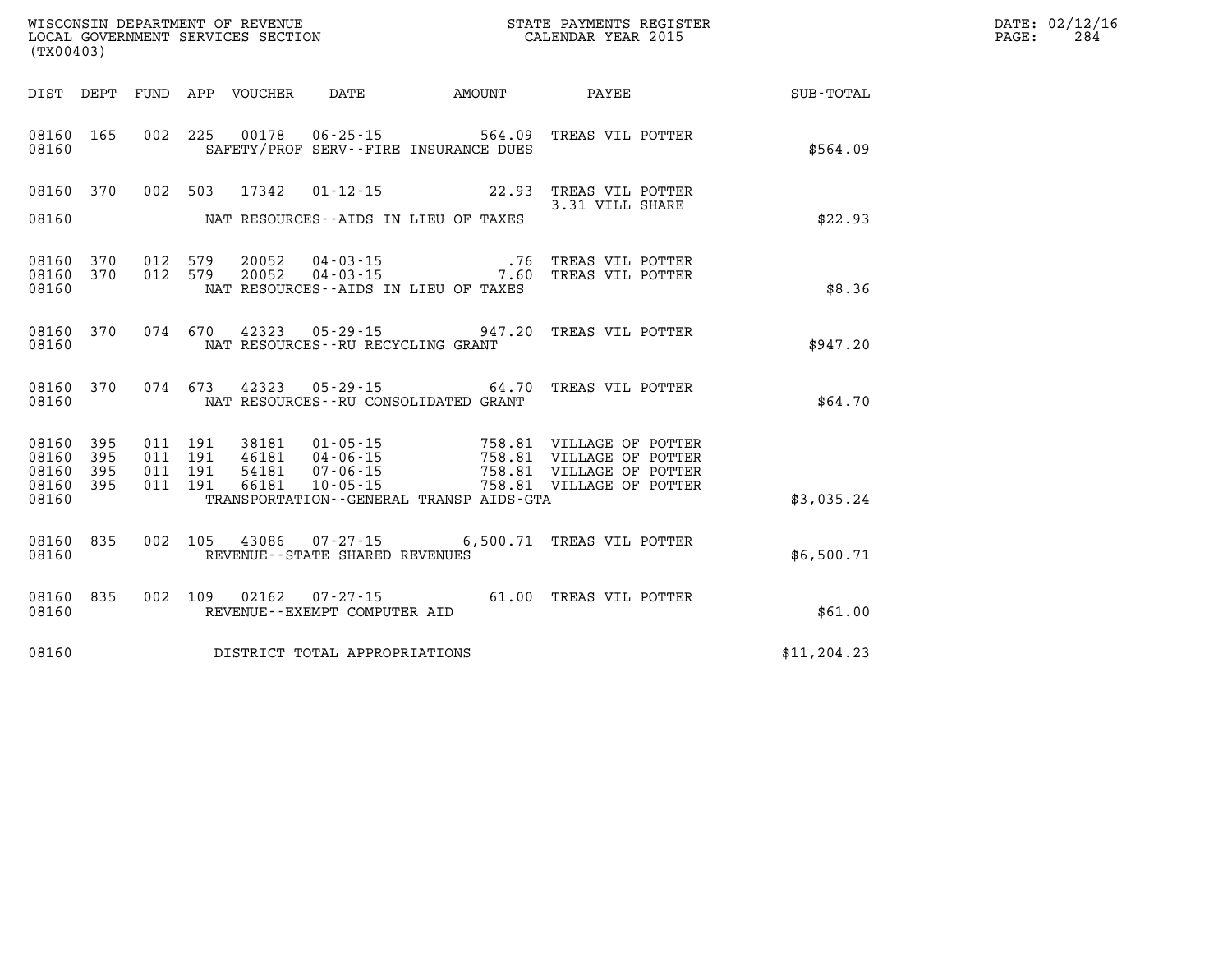|                                                           | WISCONSIN DEPARTMENT OF REVENUE<br>LOCAL GOVERNMENT SERVICES SECTION<br>CALENDAR YEAR 2015<br>(TX00403) |  |  |  |                                            |  |                                                                                              |                                                        | $\mathtt{PAGE:}$ | DATE: 02/12/16<br>284 |
|-----------------------------------------------------------|---------------------------------------------------------------------------------------------------------|--|--|--|--------------------------------------------|--|----------------------------------------------------------------------------------------------|--------------------------------------------------------|------------------|-----------------------|
|                                                           |                                                                                                         |  |  |  |                                            |  |                                                                                              | DIST DEPT FUND APP VOUCHER DATE AMOUNT PAYEE SUB-TOTAL |                  |                       |
| 08160                                                     | 08160 165                                                                                               |  |  |  | SAFETY/PROF SERV--FIRE INSURANCE DUES      |  | 002 225 00178 06-25-15 564.09 TREAS VIL POTTER                                               | \$564.09                                               |                  |                       |
|                                                           |                                                                                                         |  |  |  | 08160 NAT RESOURCES--AIDS IN LIEU OF TAXES |  | 08160 370 002 503 17342 01-12-15 22.93 TREAS VIL POTTER<br>3.31 VILL SHARE                   | \$22.93                                                |                  |                       |
| 08160                                                     | 08160 370<br>08160 370                                                                                  |  |  |  | NAT RESOURCES -- AIDS IN LIEU OF TAXES     |  | 012 579 20052 04-03-15 .76 TREAS VIL POTTER<br>012 579 20052 04-03-15 .7.60 TREAS VIL POTTER | \$8.36                                                 |                  |                       |
|                                                           | 08160                                                                                                   |  |  |  | NAT RESOURCES--RU RECYCLING GRANT          |  | 08160 370 074 670 42323 05-29-15 947.20 TREAS VIL POTTER                                     | \$947.20                                               |                  |                       |
| 08160                                                     |                                                                                                         |  |  |  | NAT RESOURCES--RU CONSOLIDATED GRANT       |  | 08160 370 074 673 42323 05-29-15 64.70 TREAS VIL POTTER                                      | \$64.70                                                |                  |                       |
| 08160 395<br>08160 395<br>08160 395<br>08160 395<br>08160 |                                                                                                         |  |  |  |                                            |  | TRANSPORTATION--GENERAL TRANSP AIDS-GTA                                                      | \$3,035.24                                             |                  |                       |
|                                                           | 08160 835<br>08160                                                                                      |  |  |  | REVENUE--STATE SHARED REVENUES             |  | 002 105 43086 07-27-15 6,500.71 TREAS VIL POTTER                                             | \$6,500.71                                             |                  |                       |
| 08160                                                     |                                                                                                         |  |  |  | REVENUE--EXEMPT COMPUTER AID               |  | 08160 835 002 109 02162 07-27-15 61.00 TREAS VIL POTTER                                      | \$61.00                                                |                  |                       |
|                                                           |                                                                                                         |  |  |  | 08160 DISTRICT TOTAL APPROPRIATIONS        |  |                                                                                              | \$11, 204.23                                           |                  |                       |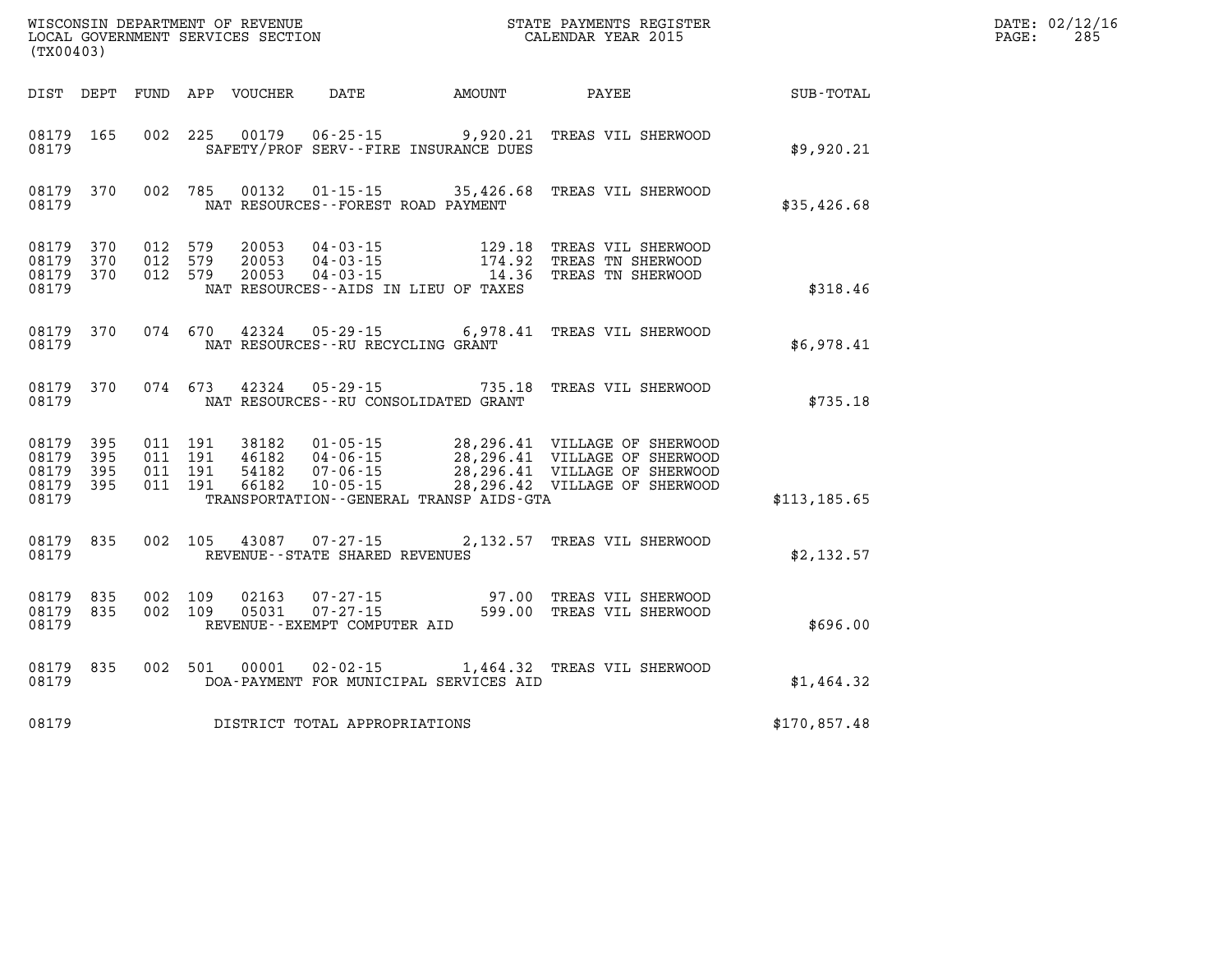| (TX00403)                                     |                   |                                          |         |                                  |                                                          |                                                                                                                                     |                                                                                                                                                                      |               | DATE: 02/12/16<br>$\mathtt{PAGE}$ :<br>285 |
|-----------------------------------------------|-------------------|------------------------------------------|---------|----------------------------------|----------------------------------------------------------|-------------------------------------------------------------------------------------------------------------------------------------|----------------------------------------------------------------------------------------------------------------------------------------------------------------------|---------------|--------------------------------------------|
|                                               |                   |                                          |         | DIST DEPT FUND APP VOUCHER       | DATE                                                     | AMOUNT                                                                                                                              | PAYEE                                                                                                                                                                | SUB-TOTAL     |                                            |
| 08179 165<br>08179                            |                   |                                          |         |                                  |                                                          | 002 225 00179 06-25-15 9,920.21<br>SAFETY/PROF SERV--FIRE INSURANCE DUES                                                            | TREAS VIL SHERWOOD                                                                                                                                                   | \$9,920.21    |                                            |
| 08179                                         | 08179 370         |                                          | 002 785 |                                  | NAT RESOURCES--FOREST ROAD PAYMENT                       |                                                                                                                                     | 00132  01-15-15  35,426.68  TREAS VIL SHERWOOD                                                                                                                       | \$35,426.68   |                                            |
| 08179<br>08179 370<br>08179                   | 08179 370<br>370  | 012 579<br>012 579<br>012 579            |         | 20053<br>20053<br>20053          | NAT RESOURCES--AIDS IN LIEU OF TAXES                     | $\begin{array}{llll} 04\cdot 03\cdot 15 & 129\, .18 \\ 04\cdot 03\cdot 15 & 174\, .92 \\ 04\cdot 03\cdot 15 & 14\, .36 \end{array}$ | 129.18 TREAS VIL SHERWOOD<br>TREAS TN SHERWOOD<br>TREAS TN SHERWOOD                                                                                                  | \$318.46      |                                            |
| 08179                                         | 08179 370         |                                          |         |                                  | NAT RESOURCES--RU RECYCLING GRANT                        |                                                                                                                                     | 074 670 42324 05-29-15 6,978.41 TREAS VIL SHERWOOD                                                                                                                   | \$6,978.41    |                                            |
| 08179                                         | 08179 370         |                                          | 074 673 | 42324                            | NAT RESOURCES--RU CONSOLIDATED GRANT                     |                                                                                                                                     | 05-29-15 735.18 TREAS VIL SHERWOOD                                                                                                                                   | \$735.18      |                                            |
| 08179<br>08179<br>08179<br>08179 395<br>08179 | 395<br>395<br>395 | 011 191<br>011 191<br>011 191<br>011 191 |         | 38182<br>46182<br>54182<br>66182 |                                                          | TRANSPORTATION--GENERAL TRANSP AIDS-GTA                                                                                             | 01-05-15 28,296.41 VILLAGE OF SHERWOOD<br>04-06-15 28,296.41 VILLAGE OF SHERWOOD<br>07-06-15 28,296.41 VILLAGE OF SHERWOOD<br>10-05-15 28,296.42 VILLAGE OF SHERWOOD | \$113, 185.65 |                                            |
| 08179                                         | 08179 835         |                                          |         |                                  | 002 105 43087 07-27-15<br>REVENUE--STATE SHARED REVENUES |                                                                                                                                     | 2,132.57 TREAS VIL SHERWOOD                                                                                                                                          | \$2,132.57    |                                            |
| 08179<br>08179 835<br>08179                   | 835               | 002 109<br>002 109                       |         | 02163<br>05031                   | REVENUE--EXEMPT COMPUTER AID                             |                                                                                                                                     | 07-27-15 97.00 TREAS VIL SHERWOOD<br>07-27-15 599.00 TREAS VIL SHERWOOD                                                                                              | \$696.00      |                                            |
| 08179                                         | 08179 835         |                                          |         | 002 501 00001                    |                                                          | DOA-PAYMENT FOR MUNICIPAL SERVICES AID                                                                                              | 02-02-15 1,464.32 TREAS VIL SHERWOOD                                                                                                                                 | \$1,464.32    |                                            |
| 08179                                         |                   |                                          |         |                                  | DISTRICT TOTAL APPROPRIATIONS                            |                                                                                                                                     |                                                                                                                                                                      | \$170,857.48  |                                            |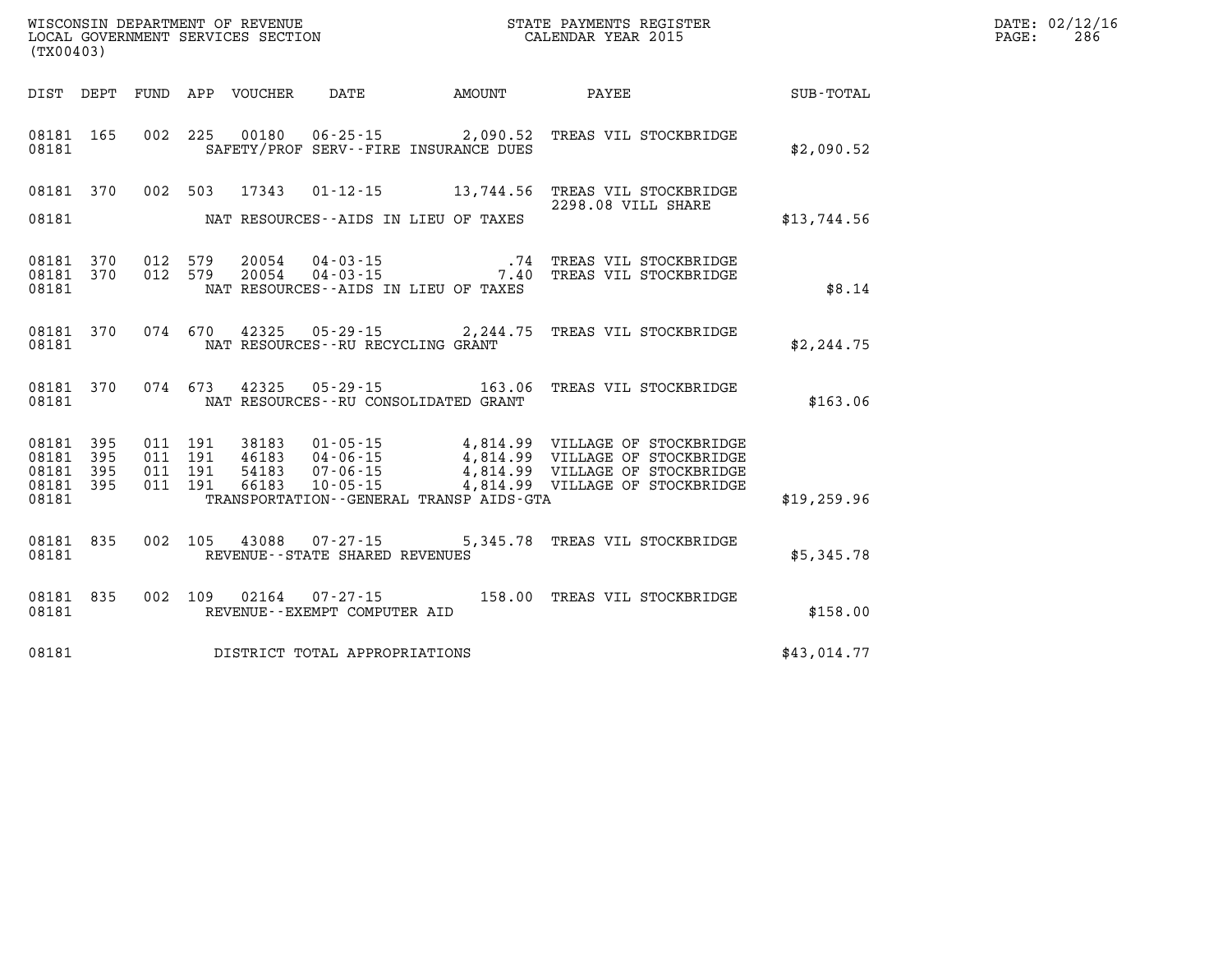| WISCONSIN DEPARTMENT OF REVENUE<br>LOCAL GOVERNMENT SERVICES SECTION<br>(TYO0403)<br>(TX00403) |       |  |  |  |                                |                                              |                                                                                                                                                                                                                                                                                                                                                   |              | DATE: 02/12/16<br>$\mathtt{PAGE:}$<br>286 |
|------------------------------------------------------------------------------------------------|-------|--|--|--|--------------------------------|----------------------------------------------|---------------------------------------------------------------------------------------------------------------------------------------------------------------------------------------------------------------------------------------------------------------------------------------------------------------------------------------------------|--------------|-------------------------------------------|
|                                                                                                |       |  |  |  |                                |                                              | DIST DEPT FUND APP VOUCHER DATE AMOUNT PAYEE PAYEE SUB-TOTAL                                                                                                                                                                                                                                                                                      |              |                                           |
| 08181                                                                                          |       |  |  |  |                                | SAFETY/PROF SERV--FIRE INSURANCE DUES        | 08181 165 002 225 00180 06-25-15 2,090.52 TREAS VIL STOCKBRIDGE                                                                                                                                                                                                                                                                                   | \$2,090.52   |                                           |
|                                                                                                |       |  |  |  |                                | 08181 NAT RESOURCES--AIDS IN LIEU OF TAXES   | 08181 370 002 503 17343 01-12-15 13,744.56 TREAS VIL STOCKBRIDGE<br>2298.08 VILL SHARE                                                                                                                                                                                                                                                            | \$13,744.56  |                                           |
| 08181                                                                                          |       |  |  |  |                                | NAT RESOURCES - AIDS IN LIEU OF TAXES        | 08181 370 012 579 20054 04-03-15 .74 TREAS VIL STOCKBRIDGE 08181 370 012 579 20054 04-03-15 7.40 TREAS VIL STOCKBRIDGE                                                                                                                                                                                                                            | \$8.14       |                                           |
|                                                                                                |       |  |  |  |                                |                                              | 08181 370 074 670 42325 05-29-15 2,244.75 TREAS VIL STOCKBRIDGE                                                                                                                                                                                                                                                                                   | \$2, 244.75  |                                           |
| 08181                                                                                          |       |  |  |  |                                | NAT RESOURCES--RU CONSOLIDATED GRANT         | 08181 370 074 673 42325 05-29-15 163.06 TREAS VIL STOCKBRIDGE                                                                                                                                                                                                                                                                                     | \$163.06     |                                           |
|                                                                                                | 08181 |  |  |  |                                | TRANSPORTATION - - GENERAL TRANSP AIDS - GTA | $\begin{array}{cccccccc} 08181 & 395 & 011 & 191 & 38183 & 01\cdot 05\cdot 15 & & 4\,, 814\, .99 & \text{VILLAGE OF STOCKBRIDGE} \\ 08181 & 395 & 011 & 191 & 46183 & 04\cdot 06\cdot 15 & & 4\,, 814\, .99 & \text{VILLAGE OF STOCKBRIDGE} \\ 08181 & 395 & 011 & 191 & 54183 & 07\cdot 06\cdot 15 & & 4\,, 814\, .99 & \text{VILLAGE OF STOCKB$ | \$19, 259.96 |                                           |
| 08181                                                                                          |       |  |  |  | REVENUE--STATE SHARED REVENUES |                                              | 08181 835 002 105 43088 07-27-15 5,345.78 TREAS VIL STOCKBRIDGE                                                                                                                                                                                                                                                                                   | \$5,345.78   |                                           |
| 08181                                                                                          |       |  |  |  | REVENUE--EXEMPT COMPUTER AID   |                                              | 08181 835 002 109 02164 07-27-15 158.00 TREAS VIL STOCKBRIDGE                                                                                                                                                                                                                                                                                     | \$158.00     |                                           |
| 08181                                                                                          |       |  |  |  | DISTRICT TOTAL APPROPRIATIONS  |                                              |                                                                                                                                                                                                                                                                                                                                                   | \$43,014.77  |                                           |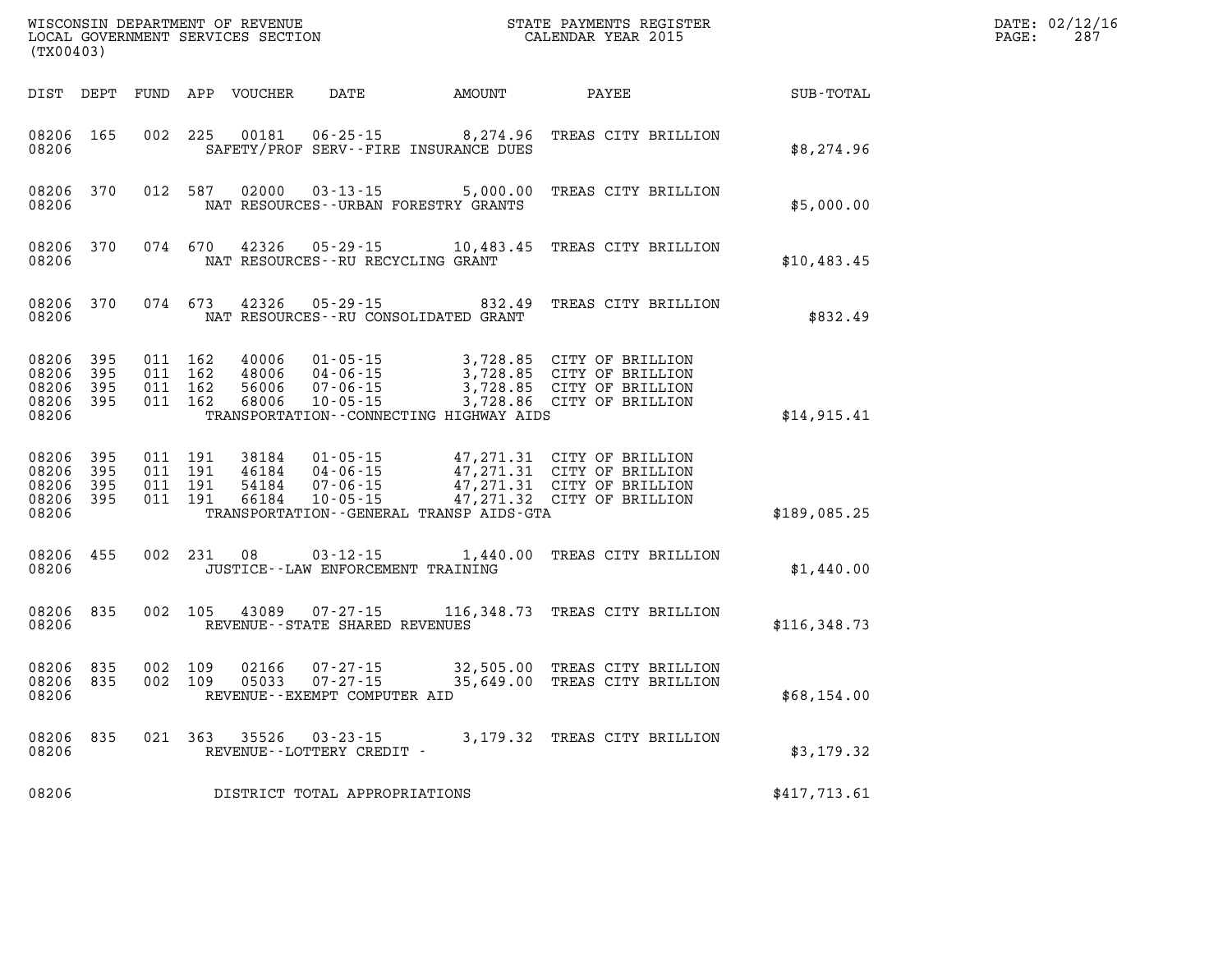| WISCONSIN DEPARTMENT OF REVENUE<br>LOCAL GOVERNMENT SERVICES SECTION<br>(TX00403) |                              |                                          |         |                                  |                                                                      |                                                                   | STATE PAYMENTS REGISTER<br>CALENDAR YEAR 2015                                                                        |              | DATE: 02/12/16<br>$\mathtt{PAGE:}$<br>287 |
|-----------------------------------------------------------------------------------|------------------------------|------------------------------------------|---------|----------------------------------|----------------------------------------------------------------------|-------------------------------------------------------------------|----------------------------------------------------------------------------------------------------------------------|--------------|-------------------------------------------|
| DIST DEPT                                                                         |                              |                                          |         | FUND APP VOUCHER                 | DATE                                                                 | <b>AMOUNT</b>                                                     | PAYEE                                                                                                                | SUB-TOTAL    |                                           |
| 08206 165<br>08206                                                                |                              |                                          | 002 225 | 00181                            |                                                                      | $06 - 25 - 15$ 8, 274.96<br>SAFETY/PROF SERV--FIRE INSURANCE DUES | TREAS CITY BRILLION                                                                                                  | \$8,274.96   |                                           |
| 08206 370<br>08206                                                                |                              |                                          | 012 587 | 02000                            | $03 - 13 - 15$                                                       | 5,000.00<br>NAT RESOURCES - - URBAN FORESTRY GRANTS               | TREAS CITY BRILLION                                                                                                  | \$5,000.00   |                                           |
| 08206 370<br>08206                                                                |                              |                                          | 074 670 | 42326                            | 05-29-15<br>NAT RESOURCES - - RU RECYCLING GRANT                     |                                                                   | 10,483.45 TREAS CITY BRILLION                                                                                        | \$10,483.45  |                                           |
| 08206 370<br>08206                                                                |                              | 074 673                                  |         | 42326                            | 05-29-15                                                             | 832.49<br>NAT RESOURCES - - RU CONSOLIDATED GRANT                 | TREAS CITY BRILLION                                                                                                  | \$832.49     |                                           |
| 08206<br>08206<br>08206<br>08206<br>08206                                         | 395<br>395<br>- 395<br>- 395 | 011 162<br>011 162<br>011 162<br>011 162 |         | 40006<br>48006<br>56006<br>68006 | $01 - 05 - 15$<br>04-06-15<br>$07 - 06 - 15$<br>$10 - 05 - 15$       | TRANSPORTATION--CONNECTING HIGHWAY AIDS                           | 3,728.85 CITY OF BRILLION<br>3,728.85 CITY OF BRILLION<br>3,728.85 CITY OF BRILLION<br>3,728.86 CITY OF BRILLION     | \$14,915.41  |                                           |
| 08206 395<br>08206<br>08206<br>08206<br>08206                                     | 395<br>395<br>395            | 011 191<br>011 191<br>011 191            | 011 191 | 38184<br>46184<br>54184<br>66184 | $01 - 05 - 15$<br>$04 - 06 - 15$<br>$07 - 06 - 15$<br>$10 - 05 - 15$ | TRANSPORTATION - - GENERAL TRANSP AIDS - GTA                      | 47,271.31 CITY OF BRILLION<br>47,271.31 CITY OF BRILLION<br>47,271.31 CITY OF BRILLION<br>47,271.32 CITY OF BRILLION | \$189,085.25 |                                           |
| 08206 455<br>08206                                                                |                              |                                          | 002 231 | 08                               | $03 - 12 - 15$<br>JUSTICE - - LAW ENFORCEMENT TRAINING               |                                                                   | 1,440.00 TREAS CITY BRILLION                                                                                         | \$1,440.00   |                                           |
| 08206 835<br>08206                                                                |                              | 002 105                                  |         | 43089                            | $07 - 27 - 15$<br>REVENUE--STATE SHARED REVENUES                     |                                                                   | 116,348.73 TREAS CITY BRILLION                                                                                       | \$116,348.73 |                                           |
| 08206 835<br>08206 835<br>08206                                                   |                              | 002 109                                  | 002 109 | 02166<br>05033                   | $07 - 27 - 15$<br>$07 - 27 - 15$<br>REVENUE--EXEMPT COMPUTER AID     |                                                                   | 32,505.00 TREAS CITY BRILLION<br>35,649.00 TREAS CITY BRILLION                                                       | \$68,154.00  |                                           |
| 08206 835<br>08206                                                                |                              | 021 363                                  |         | 35526                            | $03 - 23 - 15$<br>REVENUE--LOTTERY CREDIT -                          |                                                                   | 3,179.32 TREAS CITY BRILLION                                                                                         | \$3,179.32   |                                           |
| 08206                                                                             |                              |                                          |         |                                  | DISTRICT TOTAL APPROPRIATIONS                                        |                                                                   |                                                                                                                      | \$417,713.61 |                                           |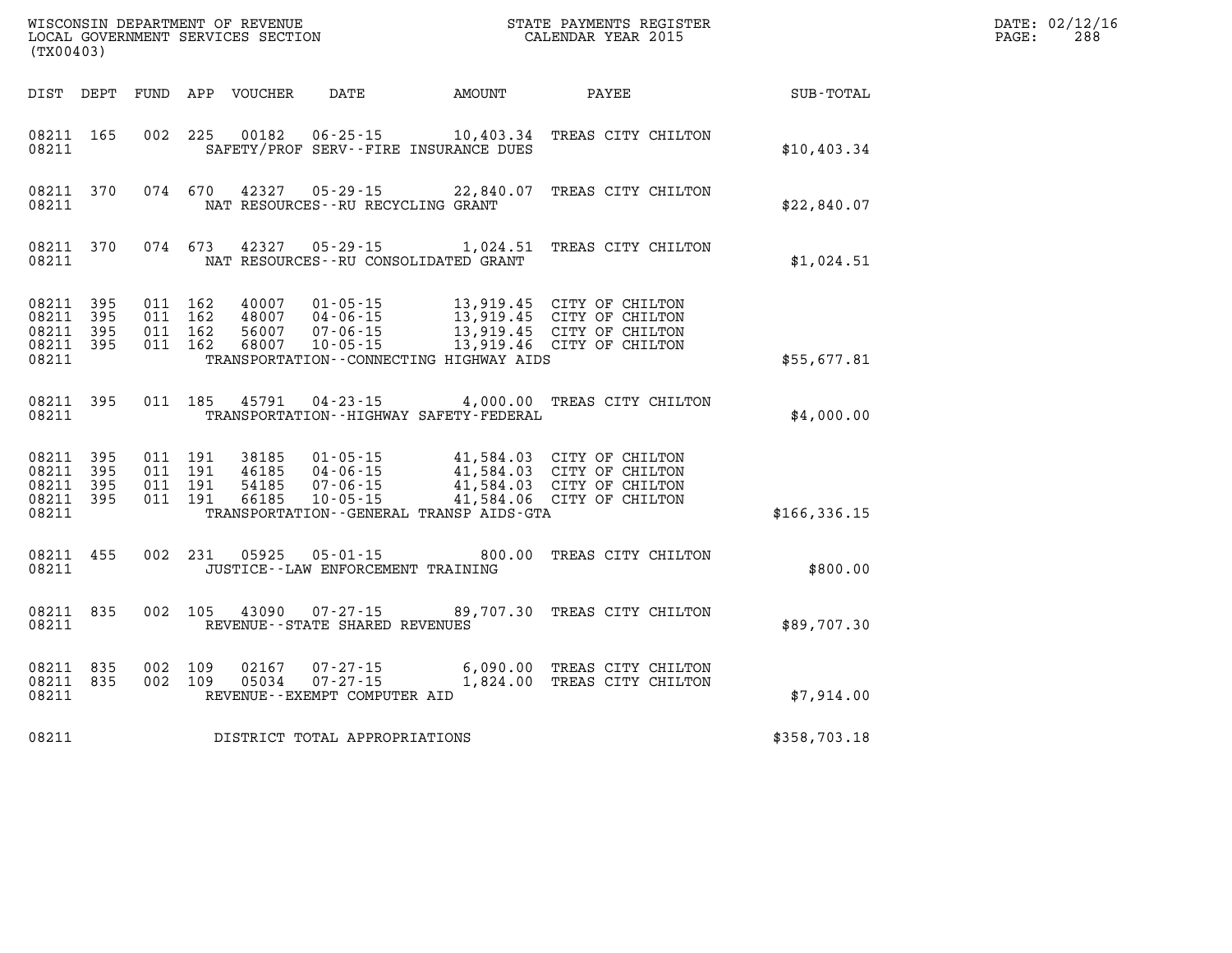| (TX00403)                                             |                        |                               |                    | WISCONSIN DEPARTMENT OF REVENUE<br>LOCAL GOVERNMENT SERVICES SECTION |                                                                |                                             | STATE PAYMENTS REGISTER<br>CALENDAR YEAR 2015                                                                    |               | DATE: 02/12/16<br>288<br>PAGE: |
|-------------------------------------------------------|------------------------|-------------------------------|--------------------|----------------------------------------------------------------------|----------------------------------------------------------------|---------------------------------------------|------------------------------------------------------------------------------------------------------------------|---------------|--------------------------------|
|                                                       |                        |                               |                    | DIST DEPT FUND APP VOUCHER                                           | DATE                                                           | AMOUNT                                      | PAYEE                                                                                                            | SUB-TOTAL     |                                |
| 08211                                                 | 08211 165              |                               | 002 225            | 00182                                                                |                                                                | SAFETY/PROF SERV--FIRE INSURANCE DUES       | 06-25-15 10,403.34 TREAS CITY CHILTON                                                                            | \$10,403.34   |                                |
| 08211                                                 | 08211 370              |                               | 074 670            | 42327                                                                | 05 - 29 - 15<br>NAT RESOURCES - - RU RECYCLING GRANT           |                                             | 22,840.07 TREAS CITY CHILTON                                                                                     | \$22,840.07   |                                |
| 08211                                                 | 08211 370              |                               | 074 673            | 42327                                                                | $05 - 29 - 15$                                                 | NAT RESOURCES - - RU CONSOLIDATED GRANT     | 1,024.51 TREAS CITY CHILTON                                                                                      | \$1,024.51    |                                |
| 08211 395<br>08211 395<br>08211<br>08211              | 395<br>08211 395       | 011 162<br>011 162<br>011 162 | 011 162            | 40007<br>48007<br>56007<br>68007                                     | $01 - 05 - 15$<br>04-06-15<br>07-06-15<br>$10 - 05 - 15$       | TRANSPORTATION--CONNECTING HIGHWAY AIDS     | 13,919.45 CITY OF CHILTON<br>13,919.45 CITY OF CHILTON<br>13,919.45 CITY OF CHILTON<br>13,919.46 CITY OF CHILTON | \$55,677.81   |                                |
| 08211 395<br>08211                                    |                        |                               | 011 185            | 45791                                                                | $04 - 23 - 15$                                                 | TRANSPORTATION - - HIGHWAY SAFETY - FEDERAL | 4,000.00 TREAS CITY CHILTON                                                                                      | \$4,000.00    |                                |
| 08211 395<br>08211 395<br>08211<br>08211 395<br>08211 | - 395                  | 011 191<br>011 191            | 011 191<br>011 191 | 38185<br>46185<br>54185<br>66185                                     | $01 - 05 - 15$<br>04-06-15<br>$07 - 06 - 15$<br>$10 - 05 - 15$ | TRANSPORTATION--GENERAL TRANSP AIDS-GTA     | 41,584.03 CITY OF CHILTON<br>41,584.03 CITY OF CHILTON<br>41,584.03 CITY OF CHILTON<br>41,584.06 CITY OF CHILTON | \$166, 336.15 |                                |
| 08211 455<br>08211                                    |                        |                               | 002 231            | 05925                                                                | $05 - 01 - 15$<br>JUSTICE - - LAW ENFORCEMENT TRAINING         | 800.00                                      | TREAS CITY CHILTON                                                                                               | \$800.00      |                                |
| 08211                                                 | 08211 835              |                               | 002 105            | 43090                                                                | 07-27-15<br>REVENUE - - STATE SHARED REVENUES                  |                                             | 89,707.30 TREAS CITY CHILTON                                                                                     | \$89,707.30   |                                |
| 08211                                                 | 08211 835<br>08211 835 | 002 109<br>002 109            |                    | 02167<br>05034                                                       | 07-27-15<br>$07 - 27 - 15$<br>REVENUE--EXEMPT COMPUTER AID     |                                             | 6,090.00 TREAS CITY CHILTON<br>1,824.00 TREAS CITY CHILTON                                                       | \$7,914.00    |                                |
| 08211                                                 |                        |                               |                    |                                                                      | DISTRICT TOTAL APPROPRIATIONS                                  |                                             |                                                                                                                  | \$358,703.18  |                                |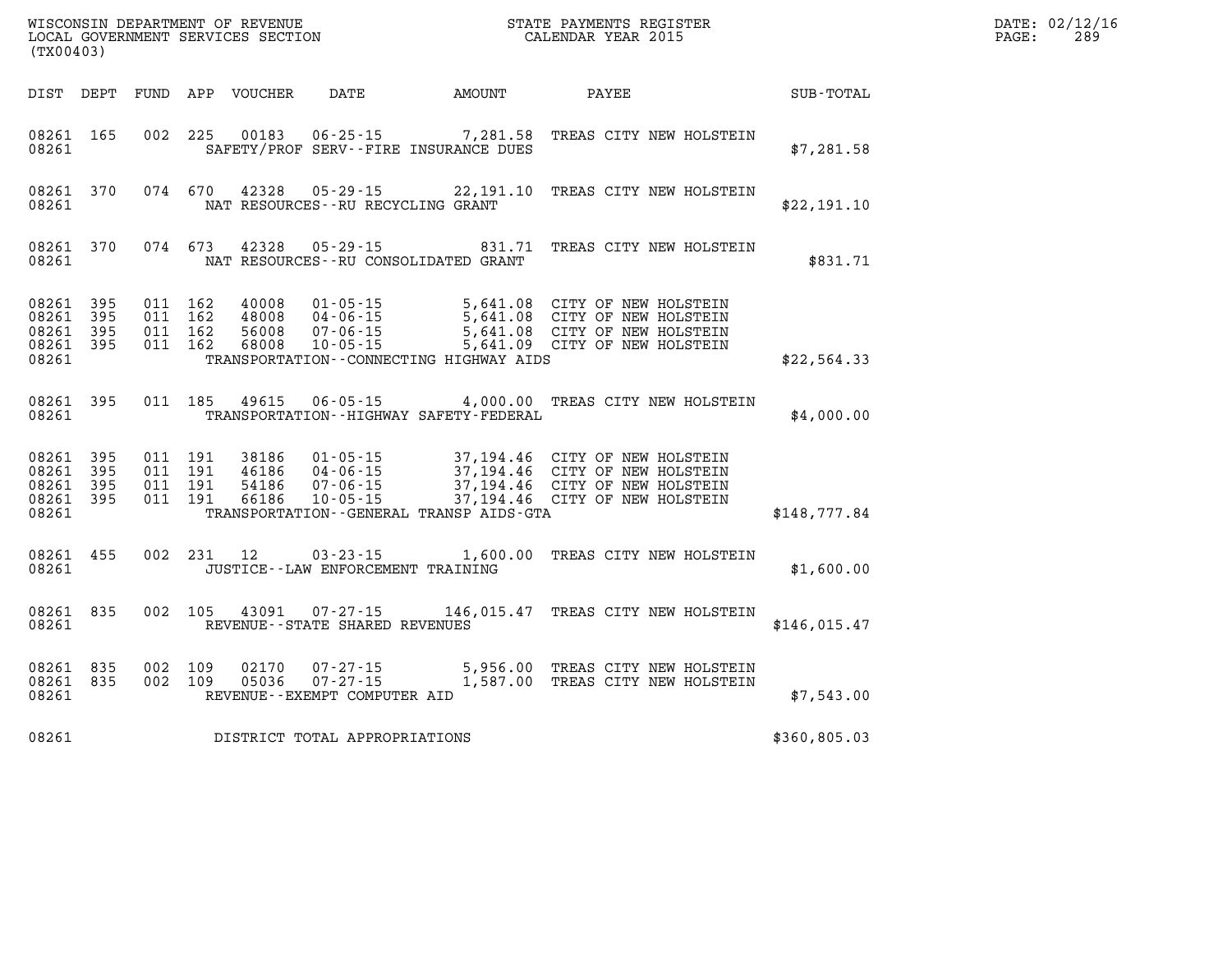| (TX00403)                                                 |           |                                          |            | WISCONSIN DEPARTMENT OF REVENUE<br>LOCAL GOVERNMENT SERVICES SECTION |                                                                |                                             | STATE PAYMENTS REGISTER<br>CALENDAR YEAR 2015                                                                                                                                                              |              | DATE: 02/12/16<br>289<br>PAGE: |
|-----------------------------------------------------------|-----------|------------------------------------------|------------|----------------------------------------------------------------------|----------------------------------------------------------------|---------------------------------------------|------------------------------------------------------------------------------------------------------------------------------------------------------------------------------------------------------------|--------------|--------------------------------|
|                                                           |           |                                          |            | DIST DEPT FUND APP VOUCHER                                           | DATE                                                           | AMOUNT                                      | PAYEE                                                                                                                                                                                                      | SUB-TOTAL    |                                |
| 08261 165<br>08261                                        |           |                                          | 002 225    | 00183                                                                |                                                                | SAFETY/PROF SERV--FIRE INSURANCE DUES       | 06-25-15 7,281.58 TREAS CITY NEW HOLSTEIN                                                                                                                                                                  | \$7,281.58   |                                |
| 08261                                                     | 08261 370 |                                          | 074 670    | 42328                                                                | 05-29-15<br>NAT RESOURCES - - RU RECYCLING GRANT               |                                             | 22,191.10 TREAS CITY NEW HOLSTEIN                                                                                                                                                                          | \$22,191.10  |                                |
| 08261 370<br>08261                                        |           | 074 673                                  |            | 42328                                                                | 05 - 29 - 15                                                   | NAT RESOURCES - - RU CONSOLIDATED GRANT     | 831.71 TREAS CITY NEW HOLSTEIN                                                                                                                                                                             | \$831.71     |                                |
| 08261 395<br>08261 395<br>08261 395<br>08261 395<br>08261 |           | 011 162<br>011 162<br>011 162<br>011 162 |            | 40008<br>48008<br>56008<br>68008                                     | $01 - 05 - 15$<br>$04 - 06 - 15$<br>07-06-15<br>$10 - 05 - 15$ | TRANSPORTATION - - CONNECTING HIGHWAY AIDS  | 5,641.08 CITY OF NEW HOLSTEIN<br>5,641.08 CITY OF NEW HOLSTEIN<br>5,641.08 CITY OF NEW HOLSTEIN<br>5,641.09 CITY OF NEW HOLSTEIN                                                                           | \$22,564.33  |                                |
| 08261 395<br>08261                                        |           |                                          | 011 185    | 49615                                                                | $06 - 05 - 15$                                                 | TRANSPORTATION - - HIGHWAY SAFETY - FEDERAL | 4,000.00 TREAS CITY NEW HOLSTEIN                                                                                                                                                                           | \$4,000.00   |                                |
| 08261 395<br>08261 395<br>08261 395<br>08261 395<br>08261 |           | 011 191<br>011 191<br>011 191<br>011 191 |            | 38186<br>46186<br>54186<br>66186                                     |                                                                | TRANSPORTATION--GENERAL TRANSP AIDS-GTA     | 01-05-15 37,194.46 CITY OF NEW HOLSTEIN<br>04-06-15 37,194.46 CITY OF NEW HOLSTEIN<br>07-06-15 37,194.46 CITY OF NEW HOLSTEIN<br>10-05-15 37,194.46 CITY OF NEW HOLSTEIN<br>37,194.46 CITY OF NEW HOLSTEIN | \$148,777.84 |                                |
| 08261 455<br>08261                                        |           |                                          | 002 231 12 |                                                                      | $03 - 23 - 15$<br>JUSTICE - - LAW ENFORCEMENT TRAINING         |                                             | 1,600.00 TREAS CITY NEW HOLSTEIN                                                                                                                                                                           | \$1,600.00   |                                |
| 08261 835<br>08261                                        |           |                                          | 002 105    | 43091                                                                | 07-27-15<br>REVENUE--STATE SHARED REVENUES                     |                                             | 146,015.47 TREAS CITY NEW HOLSTEIN                                                                                                                                                                         | \$146,015.47 |                                |
| 08261 835<br>08261 835<br>08261                           |           | 002 109<br>002 109                       |            | 02170<br>05036                                                       | 07-27-15<br>$07 - 27 - 15$<br>REVENUE--EXEMPT COMPUTER AID     |                                             | 5,956.00 TREAS CITY NEW HOLSTEIN<br>1,587.00 TREAS CITY NEW HOLSTEIN                                                                                                                                       | \$7,543.00   |                                |
| 08261                                                     |           |                                          |            |                                                                      | DISTRICT TOTAL APPROPRIATIONS                                  |                                             |                                                                                                                                                                                                            | \$360,805.03 |                                |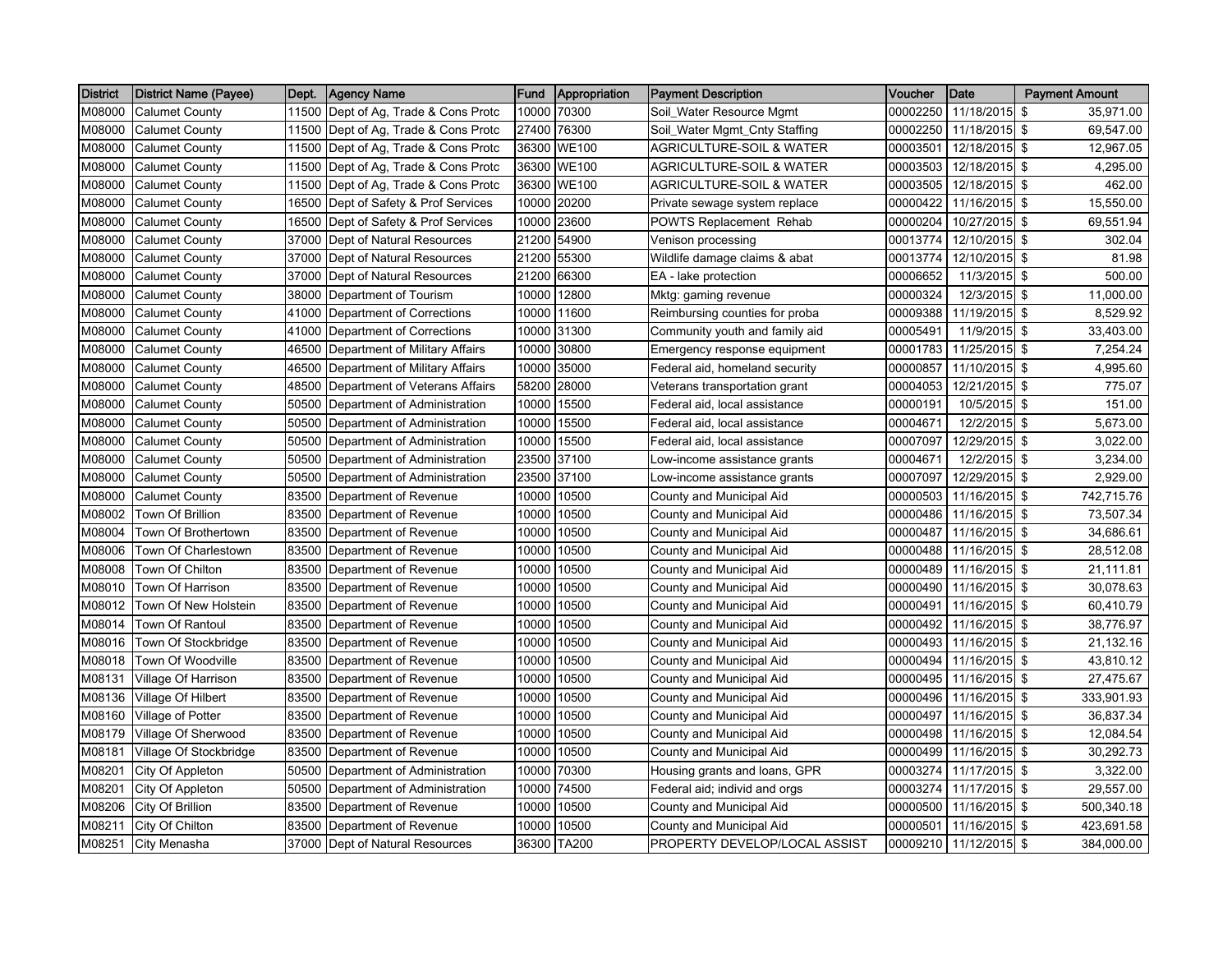| <b>District</b> | <b>District Name (Payee)</b> | Dept. | <b>Agency Name</b>                   | Fund  | Appropriation | <b>Payment Description</b>          | Voucher  | <b>Date</b>            | <b>Payment Amount</b>   |
|-----------------|------------------------------|-------|--------------------------------------|-------|---------------|-------------------------------------|----------|------------------------|-------------------------|
| M08000          | <b>Calumet County</b>        | 11500 | Dept of Ag, Trade & Cons Protc       | 10000 | 70300         | Soil_Water Resource Mgmt            | 00002250 | 11/18/2015             | \$<br>35,971.00         |
| M08000          | <b>Calumet County</b>        | 11500 | Dept of Ag, Trade & Cons Protc       | 27400 | 76300         | Soil_Water Mgmt_Cnty Staffing       | 00002250 | 11/18/2015             | \$<br>69.547.00         |
| M08000          | <b>Calumet County</b>        |       | 11500 Dept of Ag, Trade & Cons Protc |       | 36300 WE100   | AGRICULTURE-SOIL & WATER            | 00003501 | 12/18/2015 \$          | 12,967.05               |
| M08000          | <b>Calumet County</b>        |       | 11500 Dept of Ag, Trade & Cons Protc |       | 36300 WE100   | <b>AGRICULTURE-SOIL &amp; WATER</b> | 00003503 | 12/18/2015 \$          | 4,295.00                |
| M08000          | <b>Calumet County</b>        |       | 11500 Dept of Ag, Trade & Cons Protc |       | 36300 WE100   | AGRICULTURE-SOIL & WATER            | 00003505 | 12/18/2015 \$          | 462.00                  |
| M08000          | <b>Calumet County</b>        | 16500 | Dept of Safety & Prof Services       | 10000 | 20200         | Private sewage system replace       | 00000422 | 11/16/2015 \$          | 15,550.00               |
| M08000          | <b>Calumet County</b>        | 16500 | Dept of Safety & Prof Services       | 10000 | 23600         | POWTS Replacement Rehab             | 00000204 | 10/27/2015             | \$<br>69,551.94         |
| M08000          | <b>Calumet County</b>        |       | 37000 Dept of Natural Resources      |       | 21200 54900   | Venison processing                  | 00013774 | 12/10/2015 \$          | 302.04                  |
| M08000          | <b>Calumet County</b>        |       | 37000 Dept of Natural Resources      |       | 21200 55300   | Wildlife damage claims & abat       | 00013774 | 12/10/2015             | \$<br>81.98             |
| M08000          | <b>Calumet County</b>        | 37000 | Dept of Natural Resources            | 21200 | 66300         | EA - lake protection                | 00006652 | 11/3/2015 \$           | 500.00                  |
| M08000          | <b>Calumet County</b>        | 38000 | Department of Tourism                | 10000 | 12800         | Mktg: gaming revenue                | 00000324 | 12/3/2015 \$           | 11,000.00               |
| M08000          | <b>Calumet County</b>        | 41000 | Department of Corrections            | 10000 | 11600         | Reimbursing counties for proba      | 00009388 | 11/19/2015 \$          | 8,529.92                |
| M08000          | <b>Calumet County</b>        |       | 41000 Department of Corrections      | 10000 | 31300         | Community youth and family aid      | 00005491 | 11/9/2015 \$           | 33,403.00               |
| M08000          | <b>Calumet County</b>        | 46500 | Department of Military Affairs       | 10000 | 30800         | Emergency response equipment        | 00001783 | 11/25/2015             | \$<br>7,254.24          |
| M08000          | <b>Calumet County</b>        | 46500 | Department of Military Affairs       | 10000 | 35000         | Federal aid, homeland security      | 00000857 | 11/10/2015 \$          | 4,995.60                |
| M08000          | <b>Calumet County</b>        | 48500 | Department of Veterans Affairs       | 58200 | 28000         | Veterans transportation grant       | 00004053 | 12/21/2015             | \$<br>775.07            |
| M08000          | <b>Calumet County</b>        |       | 50500 Department of Administration   | 10000 | 15500         | Federal aid, local assistance       | 00000191 | 10/5/2015 \$           | 151.00                  |
| M08000          | <b>Calumet County</b>        |       | 50500 Department of Administration   | 10000 | 15500         | Federal aid, local assistance       | 00004671 | 12/2/2015 \$           | 5,673.00                |
| M08000          | <b>Calumet County</b>        |       | 50500 Department of Administration   | 10000 | 15500         | Federal aid, local assistance       | 00007097 | 12/29/2015 \$          | 3,022.00                |
| M08000          | <b>Calumet County</b>        | 50500 | Department of Administration         | 23500 | 37100         | Low-income assistance grants        | 00004671 | $12/2/2015$ \$         | 3,234.00                |
| M08000          | <b>Calumet County</b>        | 50500 | Department of Administration         | 23500 | 37100         | Low-income assistance grants        | 00007097 | 12/29/2015             | \$<br>2,929.00          |
| M08000          | <b>Calumet County</b>        |       | 83500 Department of Revenue          | 10000 | 10500         | County and Municipal Aid            | 00000503 | 11/16/2015 \$          | 742,715.76              |
| M08002          | Town Of Brillion             |       | 83500 Department of Revenue          | 10000 | 10500         | County and Municipal Aid            | 00000486 | 11/16/2015 \$          | 73,507.34               |
| M08004          | Town Of Brothertown          | 83500 | Department of Revenue                | 10000 | 10500         | County and Municipal Aid            | 00000487 | 11/16/2015 \$          | 34,686.61               |
| M08006          | Town Of Charlestown          | 83500 | Department of Revenue                | 10000 | 10500         | County and Municipal Aid            | 00000488 | 11/16/2015 \$          | 28,512.08               |
| M08008          | Town Of Chilton              |       | 83500 Department of Revenue          | 10000 | 10500         | County and Municipal Aid            | 00000489 | 11/16/2015 \$          | 21,111.81               |
| M08010          | Town Of Harrison             |       | 83500 Department of Revenue          | 10000 | 10500         | County and Municipal Aid            | 00000490 | 11/16/2015 \$          | 30,078.63               |
| M08012          | Town Of New Holstein         |       | 83500 Department of Revenue          | 10000 | 10500         | County and Municipal Aid            | 00000491 | 11/16/2015             | \$<br>60,410.79         |
| M08014          | <b>Town Of Rantoul</b>       | 83500 | Department of Revenue                | 10000 | 10500         | County and Municipal Aid            | 00000492 | 11/16/2015 \$          | 38,776.97               |
| M08016          | Town Of Stockbridge          | 83500 | Department of Revenue                | 10000 | 10500         | County and Municipal Aid            | 00000493 | 11/16/2015             | \$<br>21,132.16         |
| M08018          | Town Of Woodville            |       | 83500 Department of Revenue          | 10000 | 10500         | County and Municipal Aid            | 00000494 | 11/16/2015 \$          | 43,810.12               |
| M08131          | Village Of Harrison          |       | 83500 Department of Revenue          | 10000 | 10500         | County and Municipal Aid            | 00000495 | 11/16/2015             | $\sqrt{3}$<br>27,475.67 |
| M08136          | Village Of Hilbert           | 83500 | Department of Revenue                | 10000 | 10500         | County and Municipal Aid            | 00000496 | 11/16/2015 \$          | 333,901.93              |
| M08160          | Village of Potter            | 83500 | Department of Revenue                | 10000 | 10500         | County and Municipal Aid            | 00000497 | 11/16/2015 \$          | 36,837.34               |
| M08179          | Village Of Sherwood          | 83500 | Department of Revenue                | 10000 | 10500         | County and Municipal Aid            | 00000498 | 11/16/2015 \$          | 12,084.54               |
| M08181          | Village Of Stockbridge       |       | 83500 Department of Revenue          | 10000 | 10500         | County and Municipal Aid            | 00000499 | 11/16/2015 \$          | 30,292.73               |
| M08201          | City Of Appleton             |       | 50500 Department of Administration   | 10000 | 70300         | Housing grants and loans, GPR       | 00003274 | 11/17/2015             | \$<br>3,322.00          |
| M08201          | City Of Appleton             | 50500 | Department of Administration         | 10000 | 74500         | Federal aid; individ and orgs       | 00003274 | 11/17/2015 \$          | 29,557.00               |
| M08206          | City Of Brillion             | 83500 | Department of Revenue                | 10000 | 10500         | County and Municipal Aid            | 00000500 | 11/16/2015 \$          | 500,340.18              |
| M08211          | City Of Chilton              |       | 83500 Department of Revenue          | 10000 | 10500         | County and Municipal Aid            | 00000501 | 11/16/2015 \$          | 423,691.58              |
| M08251          | City Menasha                 |       | 37000 Dept of Natural Resources      |       | 36300 TA200   | PROPERTY DEVELOP/LOCAL ASSIST       |          | 00009210 11/12/2015 \$ | 384,000.00              |